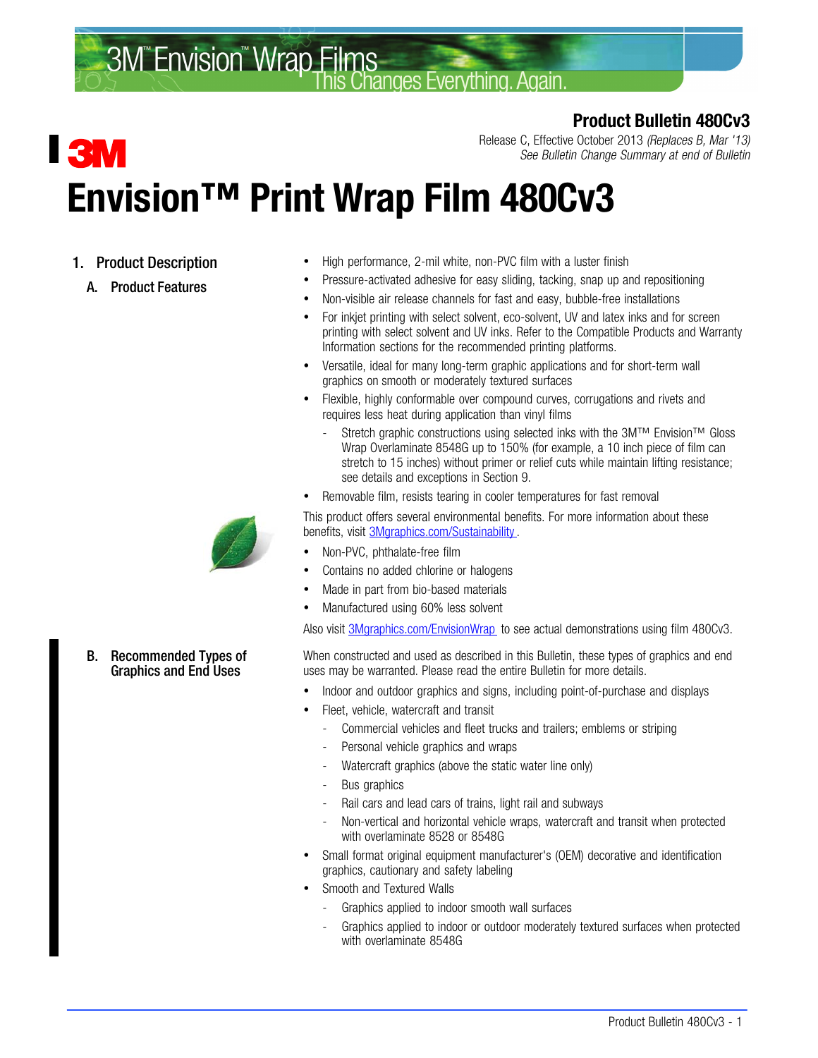#### **3M<sup>"</sup>Envision<sup>"</sup> Wrap Films** hanges Everything Anain

### Product Bulletin 480Cv3

# **TENVI** Envision™ Print Wrap Film 480Cv3

- 1. Product Description
	- A. Product Features



#### B. Recommended Types of Graphics and End Uses

Release C, Effective October 2013 (Replaces B, Mar '13) See Bulletin Change Summary at end of Bulletin

- High performance, 2-mil white, non-PVC film with a luster finish
- Pressure-activated adhesive for easy sliding, tacking, snap up and repositioning
- Non-visible air release channels for fast and easy, bubble-free installations
- For inkjet printing with select solvent, eco-solvent, UV and latex inks and for screen printing with select solvent and UV inks. Refer to the Compatible Products and Warranty Information sections for the recommended printing platforms.
- Versatile, ideal for many long-term graphic applications and for short-term wall graphics on smooth or moderately textured surfaces
- Flexible, highly conformable over compound curves, corrugations and rivets and requires less heat during application than vinyl films
	- Stretch graphic constructions using selected inks with the 3M™ Envision™ Gloss Wrap Overlaminate 8548G up to 150% (for example, a 10 inch piece of film can stretch to 15 inches) without primer or relief cuts while maintain lifting resistance; see details and exceptions in Section [9.](#page-13-0)
- Removable film, resists tearing in cooler temperatures for fast removal

This product offers several environmental benefits. For more information about these benefits, visit [3Mgraphics.com/Sustainability.](http://solutions.3m.com/wps/portal/3M/en_US/Graphics/3Mgraphics/Resources/Sustainability/?WT.mc_id=www.3mgraphics.com/sustainability)

- Non-PVC, phthalate-free film
- Contains no added chlorine or halogens
- Made in part from bio-based materials
- Manufactured using 60% less solvent

Also visit [3Mgraphics.com/EnvisionWrap](http://solutions.3m.com/wps/portal/3M/en_US/Graphics/3Mgraphics/Products/Catalog/~/Graphics-Signs/Wide-Format-Digital-Printing?N=4294405033+5412442&loc=en_US&plmlblid=1319211135885&rt=c3&WT.mc_id=www.3Mgraphics.com/EnvisionWrap) to see actual demonstrations using film 480Cv3.

When constructed and used as described in this Bulletin, these types of graphics and end uses may be warranted. Please read the entire Bulletin for more details.

- Indoor and outdoor graphics and signs, including point-of-purchase and displays
- Fleet, vehicle, watercraft and transit
	- Commercial vehicles and fleet trucks and trailers; emblems or striping
	- Personal vehicle graphics and wraps
	- Watercraft graphics (above the static water line only)
	- Bus graphics
	- Rail cars and lead cars of trains, light rail and subways
	- Non-vertical and horizontal vehicle wraps, watercraft and transit when protected with overlaminate 8528 or 8548G
- Small format original equipment manufacturer's (OEM) decorative and identification graphics, cautionary and safety labeling
- Smooth and Textured Walls
	- Graphics applied to indoor smooth wall surfaces
	- Graphics applied to indoor or outdoor moderately textured surfaces when protected with overlaminate 8548G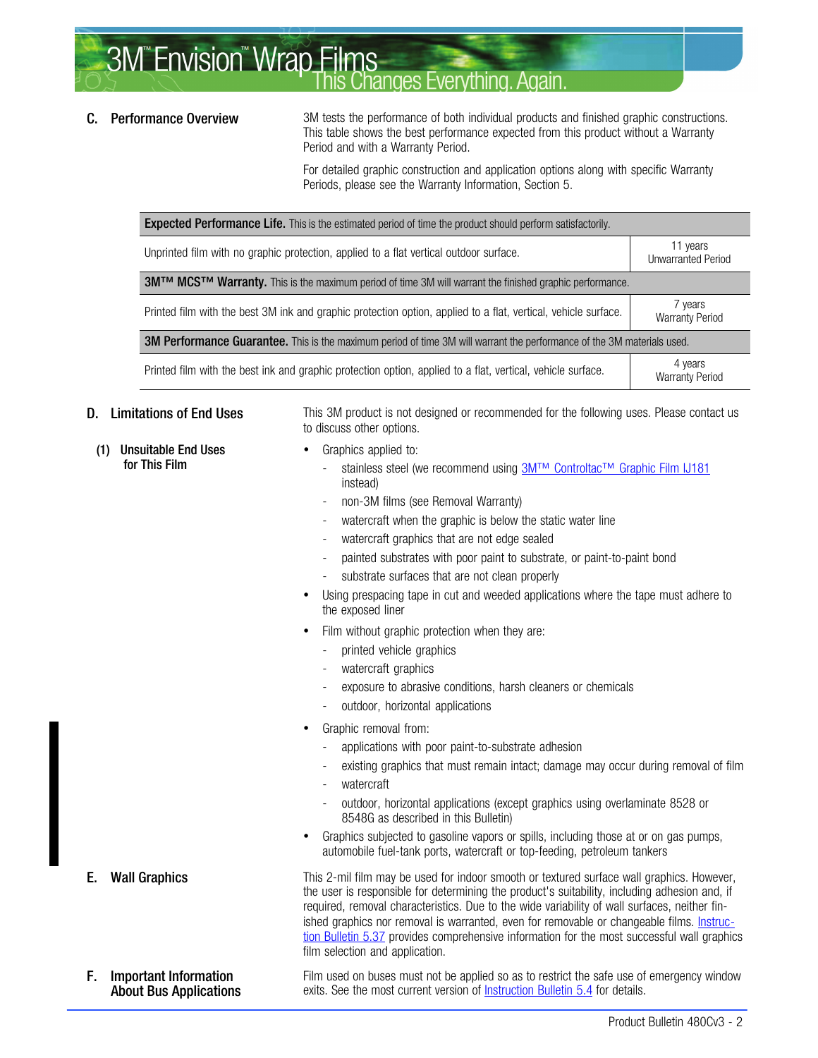**3M<sup>"</sup>Envision<sup>"</sup> Wrap Films** hanges Everything. Again

**C.** Performance Overview 3M tests the performance of both individual products and finished graphic constructions. This table shows the best performance expected from this product without a Warranty Period and with a Warranty Period.

> For detailed graphic construction and application options along with specific Warranty Periods, please see the Warranty Information, Section [5.](#page-5-0)

| <b>Expected Performance Life.</b> This is the estimated period of time the product should perform satisfactorily.      |                                       |  |  |  |  |  |  |  |  |  |
|------------------------------------------------------------------------------------------------------------------------|---------------------------------------|--|--|--|--|--|--|--|--|--|
| Unprinted film with no graphic protection, applied to a flat vertical outdoor surface.                                 | 11 years<br><b>Unwarranted Period</b> |  |  |  |  |  |  |  |  |  |
| 3M™ MCS™ Warranty. This is the maximum period of time 3M will warrant the finished graphic performance.                |                                       |  |  |  |  |  |  |  |  |  |
| Printed film with the best 3M ink and graphic protection option, applied to a flat, vertical, vehicle surface.         | 7 years<br><b>Warranty Period</b>     |  |  |  |  |  |  |  |  |  |
| 3M Performance Guarantee. This is the maximum period of time 3M will warrant the performance of the 3M materials used. |                                       |  |  |  |  |  |  |  |  |  |
| Printed film with the best ink and graphic protection option, applied to a flat, vertical, vehicle surface.            | 4 years<br><b>Warranty Period</b>     |  |  |  |  |  |  |  |  |  |

(1) Unsuitable End Uses for This Film

**D.** Limitations of End Uses This 3M product is not designed or recommended for the following uses. Please contact us to discuss other options.

- Graphics applied to:
	- stainless steel (we recommend using [3M™ Controltac™ Graphic Film IJ181](http://multimedia.3m.com/mws/mediawebserver?aaaaa1DIUmPBV2Cc8GCmXg3LoED_omDIREbaoEbaoaaaaaa--) instead)
	- non-3M films (see Removal Warranty)
	- watercraft when the graphic is below the static water line
	- watercraft graphics that are not edge sealed
	- painted substrates with poor paint to substrate, or paint-to-paint bond
	- substrate surfaces that are not clean properly
- Using prespacing tape in cut and weeded applications where the tape must adhere to the exposed liner
- Film without graphic protection when they are:
	- printed vehicle graphics
	- watercraft graphics
	- exposure to abrasive conditions, harsh cleaners or chemicals
	- outdoor, horizontal applications
- Graphic removal from:
	- applications with poor paint-to-substrate adhesion
	- existing graphics that must remain intact; damage may occur during removal of film
	- watercraft
	- outdoor, horizontal applications (except graphics using overlaminate 8528 or 8548G as described in this Bulletin)
- Graphics subjected to gasoline vapors or spills, including those at or on gas pumps, automobile fuel-tank ports, watercraft or top-feeding, petroleum tankers

**E.** Wall Graphics This 2-mil film may be used for indoor smooth or textured surface wall graphics. However, the user is responsible for determining the product's suitability, including adhesion and, if required, removal characteristics. Due to the wide variability of wall surfaces, neither finished graphics nor removal is warranted, even for removable or changeable films. [Instruc](http://multimedia.mmm.com/mws/mediawebserver.dyn?6666660Zjcf6lVs6EVs666PrWCOrrrrQ-)[tion Bulletin 5.37](http://multimedia.mmm.com/mws/mediawebserver.dyn?6666660Zjcf6lVs6EVs666PrWCOrrrrQ-) provides comprehensive information for the most successful wall graphics film selection and application.

F. Important Information About Bus Applications Film used on buses must not be applied so as to restrict the safe use of emergency window exits. See the most current version of [Instruction Bulletin 5.4](http://multimedia.mmm.com/mws/mediawebserver.dyn?6666660Zjcf6lVs6EVs666TtNCOrrrrQ-) for details.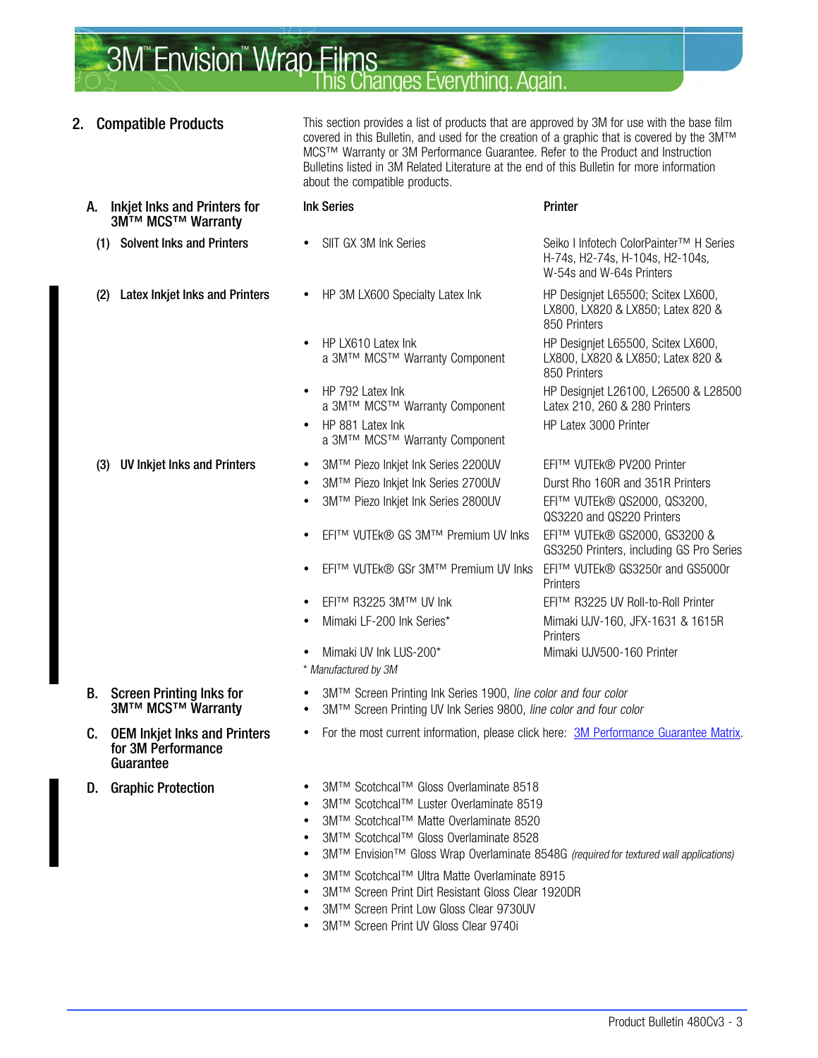## **3M<sup>"</sup>Envision<sup>"</sup> Wrap Films** hanges Everything, Again

- **2. Compatible Products** This section provides a list of products that are approved by 3M for use with the base film covered in this Bulletin, and used for the creation of a graphic that is covered by the 3M™ MCS™ Warranty or 3M Performance Guarantee. Refer to the Product and Instruction Bulletins listed in 3M Related Literature at the end of this Bulletin for more information about the compatible products. A. Inkjet Inks and Printers for 3M™ MCS™ Warranty Ink Series **Printer** (1) Solvent Inks and Printers • SIIT GX 3M Ink Series Seiko I Infotech ColorPainter™ H Series H-74s, H2-74s, H-104s, H2-104s, W-54s and W-64s Printers (2) Latex Inkjet Inks and Printers • HP 3M LX600 Specialty Latex Ink HP Designiet L65500; Scitex LX600, LX800, LX820 & LX850; Latex 820 & 850 Printers HP LX610 Latex Ink HP Designjet L65500, Scitex LX600, a 3M™ MCS™ Warranty Component LX800, LX820 & LX850; Latex 820 & a 3M™ MCS™ Warranty Component 850 Printers HP 792 Latex Ink HP Designjet L26100, L26500 & L28500<br>a 3M™ MCS™ Warranty Component Latex 210, 260 & 280 Printers a 3M™ MCS™ Warranty Component HP 881 Latex Ink HP Latex 3000 Printer a 3M™ MCS™ Warranty Component (3) UV Inkjet Inks and Printers • 3M™ Piezo Inkjet Ink Series 2200UV EFI™ VUTEk® PV200 Printer • 3M™ Piezo Inkjet Ink Series 2700UV Durst Rho 160R and 351R Printers 3M™ Piezo Inkjet Ink Series 2800UV EFI™ VUTEk® QS2000, QS3200, QS3220 and QS220 Printers EFI™ VUTEk® GS 3M™ Premium UV Inks EFI™ VUTEk® GS2000, GS3200 & GS3250 Printers, including GS Pro Series EFI™ VUTEk® GSr 3M™ Premium UV Inks EFI™ VUTEk® GS3250r and GS5000r **Printers**  EFI™ R3225 3M™ UV Ink EFI™ R3225 UV Roll-to-Roll Printer Mimaki LF-200 Ink Series\* Mimaki UJV-160, JFX-1631 & 1615R **Printers**  Mimaki UV Ink LUS-200\* Mimaki UJV500-160 Printer \* Manufactured by 3M B. Screen Printing Inks for 3M™ MCS™ Warranty 3M™ Screen Printing Ink Series 1900, line color and four color 3M™ Screen Printing UV Ink Series 9800, line color and four color C. OEM Inkjet Inks and Printers for 3M Performance Guarantee For the most current information, please click here: [3M Performance Guarantee Matrix](http://multimedia.3m.com/mws/mediawebserver?mwsId=66666UF6EVsSyXTtmxTXMxfyEVtQEVs6EVs6EVs6E666666--&fn=PG%20Warranty%20Matrix.pdf). D. Graphic Protection • 3M™ Scotchcal™ Gloss Overlaminate 8518 3M™ Scotchcal™ Luster Overlaminate 8519 3M™ Scotchcal™ Matte Overlaminate 8520 3M™ Scotchcal™ Gloss Overlaminate 8528 3M<sup>™</sup> Envision™ Gloss Wrap Overlaminate 8548G (required for textured wall applications) 3M™ Scotchcal™ Ultra Matte Overlaminate 8915
	- 3M™ Screen Print Dirt Resistant Gloss Clear 1920DR
	- 3M™ Screen Print Low Gloss Clear 9730UV
	- 3M™ Screen Print UV Gloss Clear 9740i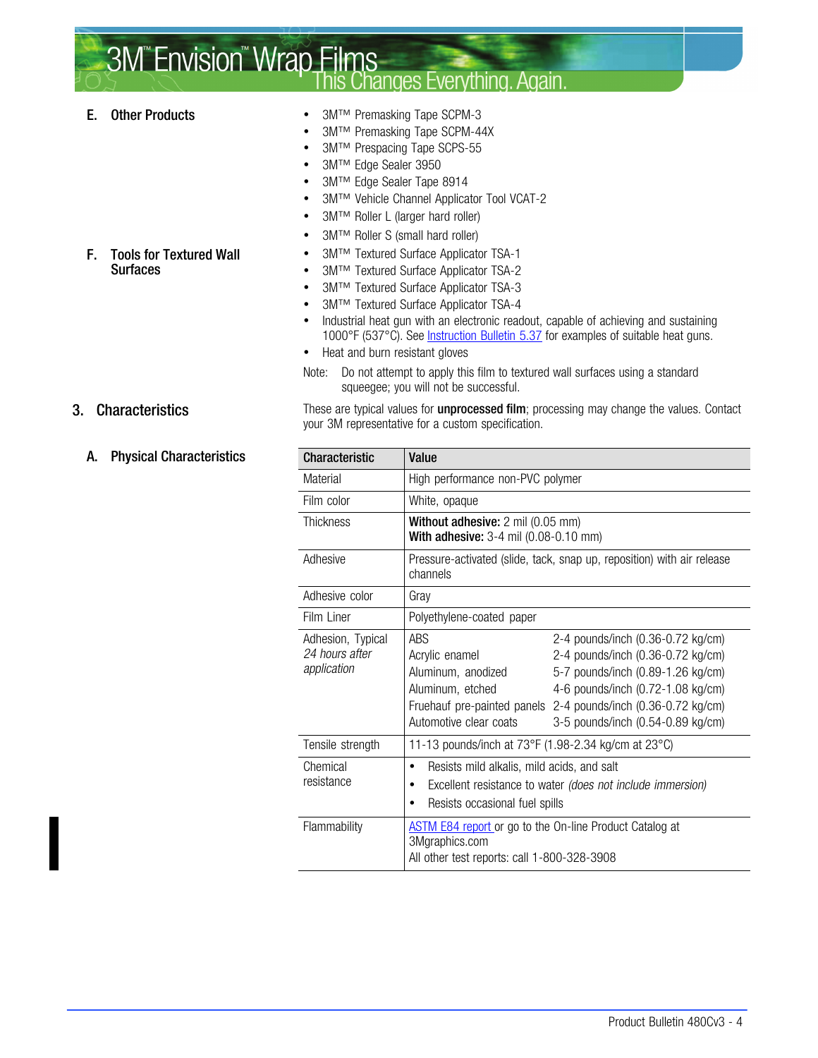### **3M<sup>"</sup>Envision<sup>"</sup> Wrap Films Changes Everything. Again**

- E. Other Products 3M™ Premasking Tape SCPM-3
	- 3M™ Premasking Tape SCPM-44X
	- 3M™ Prespacing Tape SCPS-55
	- 3M™ Edge Sealer 3950
	- 3M™ Edge Sealer Tape 8914
	- 3M™ Vehicle Channel Applicator Tool VCAT-2
	- 3M™ Roller L (larger hard roller)
	- 3M™ Roller S (small hard roller)
	- 3M™ Textured Surface Applicator TSA-1
	- 3M™ Textured Surface Applicator TSA-2
	- 3M™ Textured Surface Applicator TSA-3
	- 3M™ Textured Surface Applicator TSA-4
	- Industrial heat gun with an electronic readout, capable of achieving and sustaining 1000°F (537°C). See *Instruction Bulletin 5.37* for examples of suitable heat guns.
	- Heat and burn resistant gloves
	- Note: Do not attempt to apply this film to textured wall surfaces using a standard squeegee; you will not be successful.

3. Characteristics These are typical values for unprocessed film; processing may change the values. Contact your 3M representative for a custom specification.

| <b>Characteristic</b>                              | Value                                                                                                                                                             |                                                                                                                                                                                                                                                        |  |  |  |  |  |  |  |  |
|----------------------------------------------------|-------------------------------------------------------------------------------------------------------------------------------------------------------------------|--------------------------------------------------------------------------------------------------------------------------------------------------------------------------------------------------------------------------------------------------------|--|--|--|--|--|--|--|--|
| Material                                           | High performance non-PVC polymer                                                                                                                                  |                                                                                                                                                                                                                                                        |  |  |  |  |  |  |  |  |
| Film color                                         | White, opaque                                                                                                                                                     |                                                                                                                                                                                                                                                        |  |  |  |  |  |  |  |  |
| Thickness                                          | Without adhesive: 2 mil (0.05 mm)<br><b>With adhesive:</b> 3-4 mil (0.08-0.10 mm)                                                                                 |                                                                                                                                                                                                                                                        |  |  |  |  |  |  |  |  |
| Adhesive                                           | channels                                                                                                                                                          | Pressure-activated (slide, tack, snap up, reposition) with air release                                                                                                                                                                                 |  |  |  |  |  |  |  |  |
| Adhesive color                                     | Gray                                                                                                                                                              |                                                                                                                                                                                                                                                        |  |  |  |  |  |  |  |  |
| Film Liner                                         | Polyethylene-coated paper                                                                                                                                         |                                                                                                                                                                                                                                                        |  |  |  |  |  |  |  |  |
| Adhesion, Typical<br>24 hours after<br>application | ABS<br>Acrylic enamel<br>Aluminum, anodized<br>Aluminum, etched<br>Automotive clear coats                                                                         | 2-4 pounds/inch (0.36-0.72 kg/cm)<br>2-4 pounds/inch (0.36-0.72 kg/cm)<br>5-7 pounds/inch (0.89-1.26 kg/cm)<br>4-6 pounds/inch (0.72-1.08 kg/cm)<br>Fruehauf pre-painted panels 2-4 pounds/inch (0.36-0.72 kg/cm)<br>3-5 pounds/inch (0.54-0.89 kg/cm) |  |  |  |  |  |  |  |  |
| Tensile strength                                   | 11-13 pounds/inch at 73°F (1.98-2.34 kg/cm at 23°C)                                                                                                               |                                                                                                                                                                                                                                                        |  |  |  |  |  |  |  |  |
| Chemical<br>resistance                             | Resists mild alkalis, mild acids, and salt<br>٠<br>Excellent resistance to water (does not include immersion)<br>٠<br>Resists occasional fuel spills<br>$\bullet$ |                                                                                                                                                                                                                                                        |  |  |  |  |  |  |  |  |
| Flammability                                       | <b>ASTM E84 report or go to the On-line Product Catalog at</b><br>3Mgraphics.com<br>All other test reports: call 1-800-328-3908                                   |                                                                                                                                                                                                                                                        |  |  |  |  |  |  |  |  |

#### A. Physical Characteristics

F. Tools for Textured Wall

**Surfaces**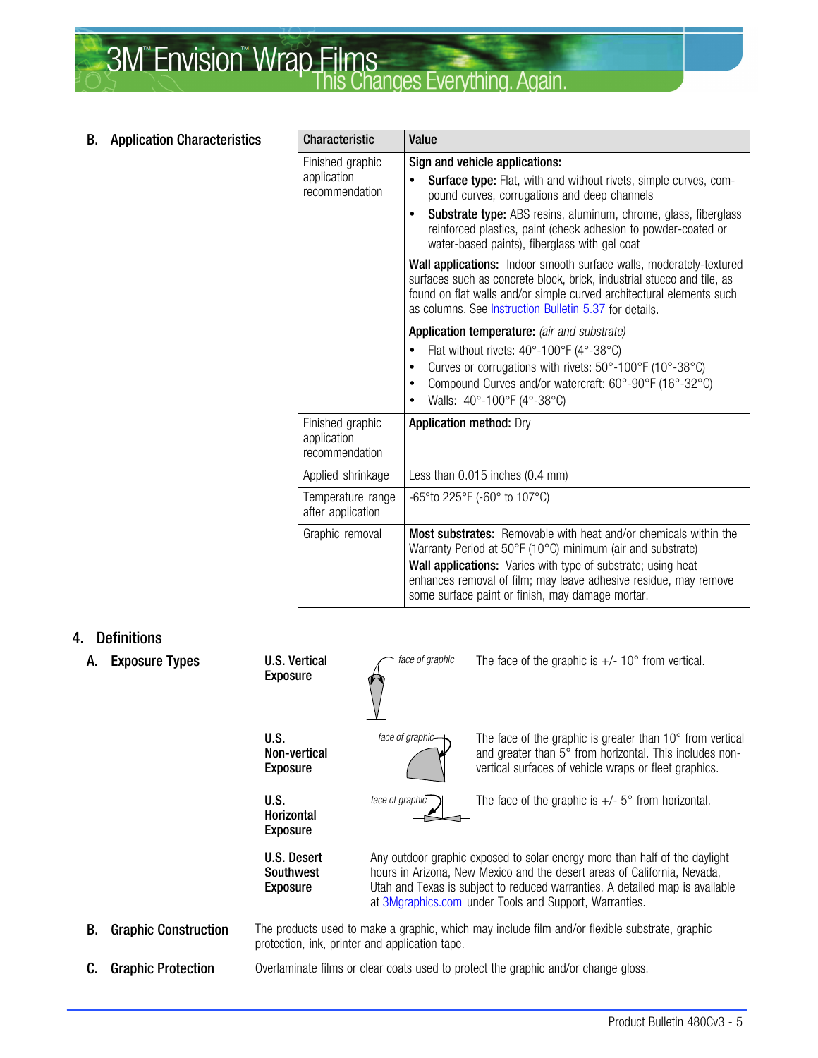#### <span id="page-4-0"></span>**3M<sup>"</sup>Envision<sup>"</sup> Wrap Films** nanges Everything Anain

| В. | <b>Application Characteristics</b> | <b>Characteristic</b>                             | Value                                                                                                                                                                                                                                                                                                                                                                            |  |  |  |  |  |  |
|----|------------------------------------|---------------------------------------------------|----------------------------------------------------------------------------------------------------------------------------------------------------------------------------------------------------------------------------------------------------------------------------------------------------------------------------------------------------------------------------------|--|--|--|--|--|--|
|    |                                    | Finished graphic<br>application<br>recommendation | Sign and vehicle applications:<br><b>Surface type:</b> Flat, with and without rivets, simple curves, com-<br>$\bullet$<br>pound curves, corrugations and deep channels<br><b>Substrate type:</b> ABS resins, aluminum, chrome, glass, fiberglass<br>$\bullet$<br>reinforced plastics, paint (check adhesion to powder-coated or<br>water-based paints), fiberglass with gel coat |  |  |  |  |  |  |
|    |                                    |                                                   | Wall applications: Indoor smooth surface walls, moderately-textured<br>surfaces such as concrete block, brick, industrial stucco and tile, as<br>found on flat walls and/or simple curved architectural elements such<br>as columns. See <b>Instruction Bulletin 5.37</b> for details.                                                                                           |  |  |  |  |  |  |
|    |                                    |                                                   | Application temperature: (air and substrate)<br>Flat without rivets: 40°-100°F (4°-38°C)<br>$\bullet$<br>Curves or corrugations with rivets: 50°-100°F (10°-38°C)<br>$\bullet$<br>Compound Curves and/or watercraft: 60°-90°F (16°-32°C)<br>$\bullet$<br>Walls: 40°-100°F (4°-38°C)<br>$\bullet$                                                                                 |  |  |  |  |  |  |
|    |                                    | Finished graphic<br>application<br>recommendation | <b>Application method: Dry</b>                                                                                                                                                                                                                                                                                                                                                   |  |  |  |  |  |  |
|    |                                    | Applied shrinkage                                 | Less than 0.015 inches (0.4 mm)                                                                                                                                                                                                                                                                                                                                                  |  |  |  |  |  |  |
|    |                                    | Temperature range<br>after application            | -65° to 225° F (-60° to 107° C)                                                                                                                                                                                                                                                                                                                                                  |  |  |  |  |  |  |
|    |                                    | Graphic removal                                   | <b>Most substrates:</b> Removable with heat and/or chemicals within the<br>Warranty Period at 50°F (10°C) minimum (air and substrate)<br>Wall applications: Varies with type of substrate; using heat<br>enhances removal of film; may leave adhesive residue, may remove<br>some surface paint or finish, may damage mortar.                                                    |  |  |  |  |  |  |

#### 4. Definitions

A. Exposure Types U.S. Vertical Exposure face of graphic The face of the graphic is  $+/- 10^{\circ}$  from vertical. U.S. Non-vertical Exposure face of graphic $\leftarrow$  The face of the graphic is greater than 10 $^{\circ}$  from vertical and greater than  $5^\circ$  from horizontal. This includes nonvertical surfaces of vehicle wraps or fleet graphics. U.S. Horizontal Exposure face of graphic  $\Box$  The face of the graphic is  $+/-$  5° from horizontal. U.S. Desert Southwest Exposure Any outdoor graphic exposed to solar energy more than half of the daylight hours in Arizona, New Mexico and the desert areas of California, Nevada, Utah and Texas is subject to reduced warranties. A detailed map is available at [3Mgraphics.com](http://solutions.3m.com/wps/portal/3M/en_US/Graphics/3Mgraphics/ToolsAndSupport/Warranties/) under Tools and Support, Warranties. **B.** Graphic Construction The products used to make a graphic, which may include film and/or flexible substrate, graphic protection, ink, printer and application tape. **C.** Graphic Protection **Overlaminate films or clear coats used to protect the graphic and/or change gloss.**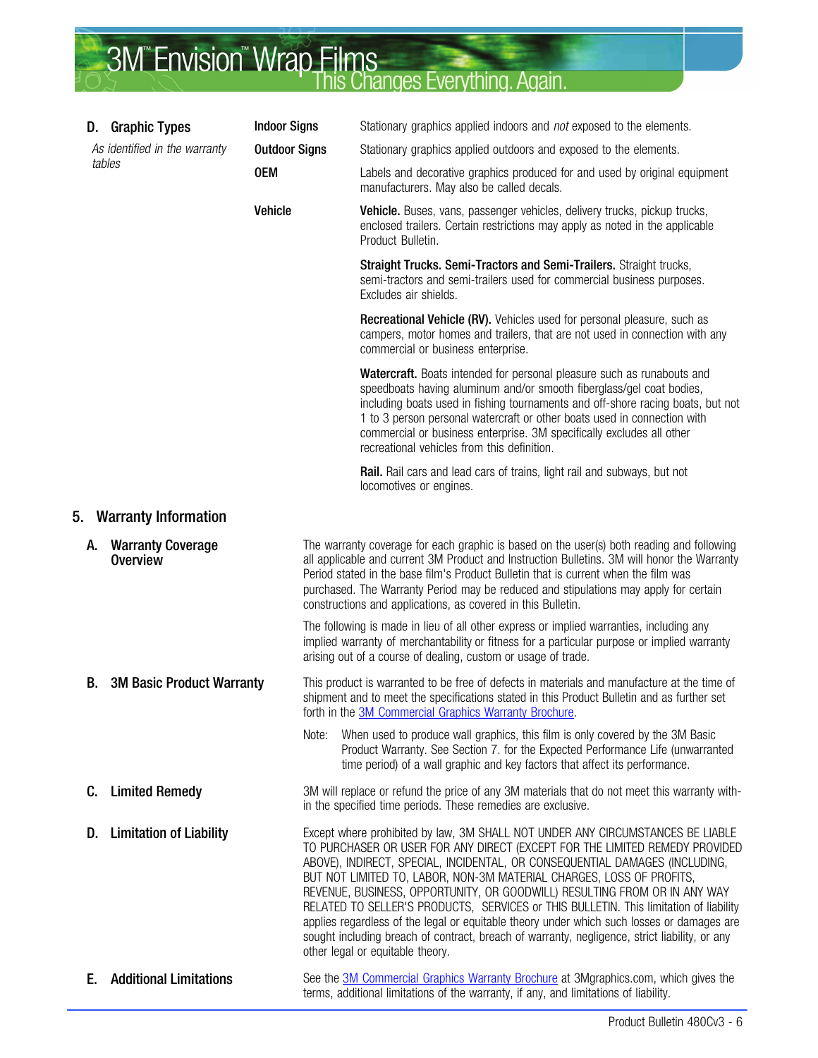# <span id="page-5-0"></span>**3M<sup>"</sup>Envision<sup>"</sup> Wrap Films**<br>This Changes Everything. Again.

|    | D. Graphic Types                        | <b>Indoor Signs</b>  | Stationary graphics applied indoors and not exposed to the elements.                                                                                                                                                                                                                                                                                                                                                                                                                                                                                                                                                                                                                                                          |  |  |  |  |  |  |
|----|-----------------------------------------|----------------------|-------------------------------------------------------------------------------------------------------------------------------------------------------------------------------------------------------------------------------------------------------------------------------------------------------------------------------------------------------------------------------------------------------------------------------------------------------------------------------------------------------------------------------------------------------------------------------------------------------------------------------------------------------------------------------------------------------------------------------|--|--|--|--|--|--|
|    | As identified in the warranty           | <b>Outdoor Signs</b> | Stationary graphics applied outdoors and exposed to the elements.                                                                                                                                                                                                                                                                                                                                                                                                                                                                                                                                                                                                                                                             |  |  |  |  |  |  |
|    | tables                                  | 0EM                  | Labels and decorative graphics produced for and used by original equipment<br>manufacturers. May also be called decals.                                                                                                                                                                                                                                                                                                                                                                                                                                                                                                                                                                                                       |  |  |  |  |  |  |
|    |                                         | Vehicle              | Vehicle. Buses, vans, passenger vehicles, delivery trucks, pickup trucks,<br>enclosed trailers. Certain restrictions may apply as noted in the applicable<br>Product Bulletin.                                                                                                                                                                                                                                                                                                                                                                                                                                                                                                                                                |  |  |  |  |  |  |
|    |                                         |                      | Straight Trucks. Semi-Tractors and Semi-Trailers. Straight trucks,<br>semi-tractors and semi-trailers used for commercial business purposes.<br>Excludes air shields.                                                                                                                                                                                                                                                                                                                                                                                                                                                                                                                                                         |  |  |  |  |  |  |
|    |                                         |                      | Recreational Vehicle (RV). Vehicles used for personal pleasure, such as<br>campers, motor homes and trailers, that are not used in connection with any<br>commercial or business enterprise.                                                                                                                                                                                                                                                                                                                                                                                                                                                                                                                                  |  |  |  |  |  |  |
|    |                                         |                      | <b>Watercraft.</b> Boats intended for personal pleasure such as runabouts and<br>speedboats having aluminum and/or smooth fiberglass/gel coat bodies,<br>including boats used in fishing tournaments and off-shore racing boats, but not<br>1 to 3 person personal watercraft or other boats used in connection with<br>commercial or business enterprise. 3M specifically excludes all other<br>recreational vehicles from this definition.                                                                                                                                                                                                                                                                                  |  |  |  |  |  |  |
|    |                                         |                      | Rail. Rail cars and lead cars of trains, light rail and subways, but not<br>locomotives or engines.                                                                                                                                                                                                                                                                                                                                                                                                                                                                                                                                                                                                                           |  |  |  |  |  |  |
| 5. | <b>Warranty Information</b>             |                      |                                                                                                                                                                                                                                                                                                                                                                                                                                                                                                                                                                                                                                                                                                                               |  |  |  |  |  |  |
|    | A. Warranty Coverage<br><b>Overview</b> |                      | The warranty coverage for each graphic is based on the user(s) both reading and following<br>all applicable and current 3M Product and Instruction Bulletins. 3M will honor the Warranty<br>Period stated in the base film's Product Bulletin that is current when the film was<br>purchased. The Warranty Period may be reduced and stipulations may apply for certain<br>constructions and applications, as covered in this Bulletin.                                                                                                                                                                                                                                                                                       |  |  |  |  |  |  |
|    |                                         |                      | The following is made in lieu of all other express or implied warranties, including any<br>implied warranty of merchantability or fitness for a particular purpose or implied warranty<br>arising out of a course of dealing, custom or usage of trade.                                                                                                                                                                                                                                                                                                                                                                                                                                                                       |  |  |  |  |  |  |
| В. | <b>3M Basic Product Warranty</b>        |                      | This product is warranted to be free of defects in materials and manufacture at the time of<br>shipment and to meet the specifications stated in this Product Bulletin and as further set<br>forth in the 3M Commercial Graphics Warranty Brochure.                                                                                                                                                                                                                                                                                                                                                                                                                                                                           |  |  |  |  |  |  |
|    |                                         | Note:                | When used to produce wall graphics, this film is only covered by the 3M Basic<br>Product Warranty. See Section 7. for the Expected Performance Life (unwarranted<br>time period) of a wall graphic and key factors that affect its performance.                                                                                                                                                                                                                                                                                                                                                                                                                                                                               |  |  |  |  |  |  |
| C. | <b>Limited Remedy</b>                   |                      | 3M will replace or refund the price of any 3M materials that do not meet this warranty with-<br>in the specified time periods. These remedies are exclusive.                                                                                                                                                                                                                                                                                                                                                                                                                                                                                                                                                                  |  |  |  |  |  |  |
| D. | <b>Limitation of Liability</b>          |                      | Except where prohibited by law, 3M SHALL NOT UNDER ANY CIRCUMSTANCES BE LIABLE<br>TO PURCHASER OR USER FOR ANY DIRECT (EXCEPT FOR THE LIMITED REMEDY PROVIDED<br>ABOVE), INDIRECT, SPECIAL, INCIDENTAL, OR CONSEQUENTIAL DAMAGES (INCLUDING,<br>BUT NOT LIMITED TO, LABOR, NON-3M MATERIAL CHARGES, LOSS OF PROFITS,<br>REVENUE, BUSINESS, OPPORTUNITY, OR GOODWILL) RESULTING FROM OR IN ANY WAY<br>RELATED TO SELLER'S PRODUCTS, SERVICES or THIS BULLETIN. This limitation of liability<br>applies regardless of the legal or equitable theory under which such losses or damages are<br>sought including breach of contract, breach of warranty, negligence, strict liability, or any<br>other legal or equitable theory. |  |  |  |  |  |  |
| Е. | <b>Additional Limitations</b>           |                      | See the <b>3M Commercial Graphics Warranty Brochure</b> at 3Mgraphics.com, which gives the<br>terms, additional limitations of the warranty, if any, and limitations of liability.                                                                                                                                                                                                                                                                                                                                                                                                                                                                                                                                            |  |  |  |  |  |  |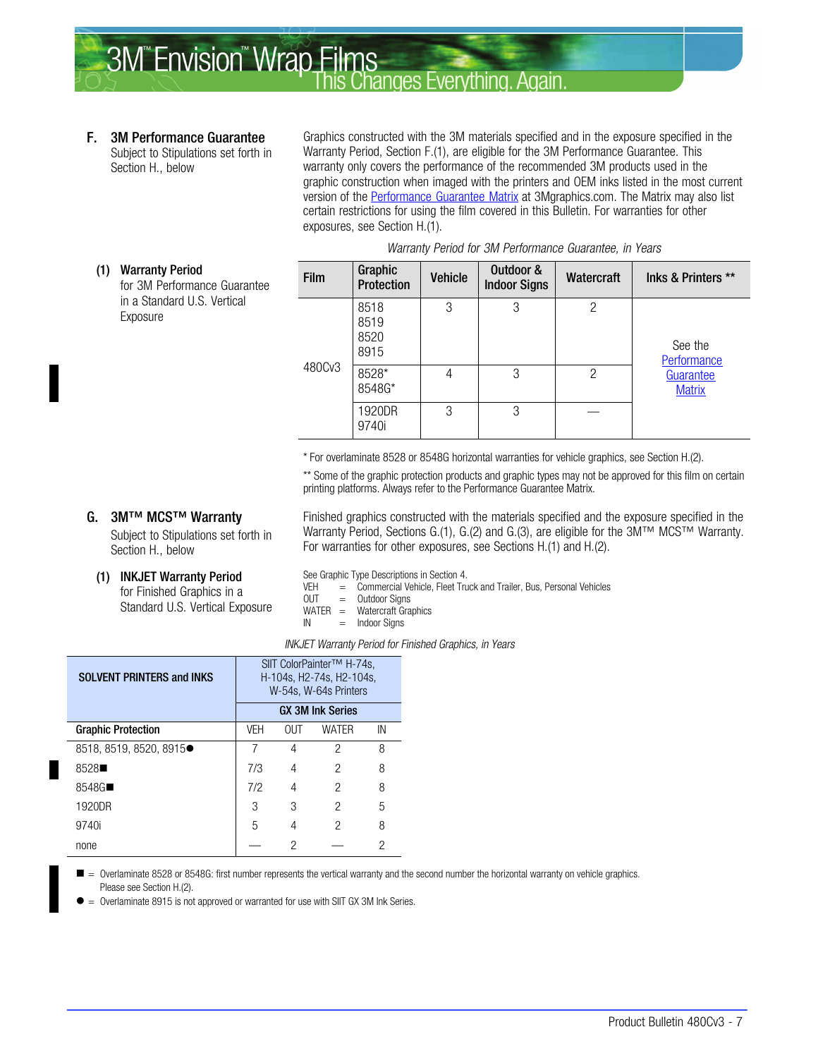#### <span id="page-6-0"></span>F. 3M Performance Guarantee

Subject to Stipulations set forth in Section [H.,](#page-9-0) below

Graphics constructed with the 3M materials specified and in the exposure specified in the Warranty Period, Section F.(1), are eligible for the 3M Performance Guarantee. This warranty only covers the performance of the recommended 3M products used in the graphic construction when imaged with the printers and OEM inks listed in the most current version of the [Performance Guarantee Matrix](http://multimedia.3m.com/mws/mediawebserver?mwsId=66666UuZjcFSLXTtmxTXMxfyEVuQEcuZgVs6EVs6E666666--) at 3Mgraphics.com. The Matrix may also list certain restrictions for using the film covered in this Bulletin. For warranties for other exposures, see Section [H.\(1\).](#page-9-0)

| (1) | <b>Warranty Period</b><br>for 3M Performance Guarantee<br>in a Standard U.S. Vertical<br>Exposure | Film            | Graphic<br>Protection        | <b>Vehicle</b> | Outdoor &<br><b>Indoor Signs</b> | Watercraft                 | Inks & Printers **     |
|-----|---------------------------------------------------------------------------------------------------|-----------------|------------------------------|----------------|----------------------------------|----------------------------|------------------------|
|     |                                                                                                   |                 | 8518<br>8519<br>8520<br>8915 | 3              | 3                                | 2                          | See the<br>Performance |
|     | 480Cv3                                                                                            | 8528*<br>8548G* | 4                            | 3              | $\overline{c}$                   | Guarantee<br><b>Matrix</b> |                        |
|     |                                                                                                   | 1920DR<br>9740i | 3                            | 3              |                                  |                            |                        |

#### Warranty Period for 3M Performance Guarantee, in Years

\* For overlaminate 8528 or 8548G horizontal warranties for vehicle graphics, see Section [H.\(](#page-9-0)2).

\*\* Some of the graphic protection products and graphic types may not be approved for this film on certain printing platforms. Always refer to the Performance Guarantee Matrix.

Finished graphics constructed with the materials specified and the exposure specified in the

#### G. 3M™ MCS™ Warranty

Subject to Stipulations set forth in Section [H.,](#page-9-0) below

(1) INKJET Warranty Period

for Finished Graphics in a Standard U.S. Vertical Exposure

| Warranty Period, Sections G.(1), G.(2) and G.(3), are eligible for the $3M^{TM}$ MCS <sup>TM</sup> Warranty. |  |  |  |
|--------------------------------------------------------------------------------------------------------------|--|--|--|
| For warranties for other exposures, see Sections H.(1) and H.(2).                                            |  |  |  |
|                                                                                                              |  |  |  |

See Graphic Type Descriptions in Section [4.](#page-4-0)<br>VEH = Commercial Vehicle. Fleet Tru

= Commercial Vehicle, Fleet Truck and Trailer, Bus, Personal Vehicles

- OUT = Outdoor Signs<br>WATER = Watercraft Gra
- $WATER = Watercraft Graphics$ <br>  $IN = Indoor Sians$  $=$  Indoor Signs

|  | INKJET Warranty Period for Finished Graphics, in Years |  |  |
|--|--------------------------------------------------------|--|--|

| <b>SOLVENT PRINTERS and INKS</b> | SIIT ColorPainter™ H-74s.<br>H-104s, H2-74s, H2-104s,<br>W-54s, W-64s Printers<br><b>GX 3M Ink Series</b> |     |              |    |  |  |  |
|----------------------------------|-----------------------------------------------------------------------------------------------------------|-----|--------------|----|--|--|--|
| <b>Graphic Protection</b>        | VEH                                                                                                       | 0UT | <b>WATFR</b> | IN |  |  |  |
| 8518, 8519, 8520, 8915●          | 7                                                                                                         | 4   | 2            | 8  |  |  |  |
| 8528                             | 7/3                                                                                                       | 4   | 2            | 8  |  |  |  |
| 8548G                            | 7/2                                                                                                       | 4   | 2            | 8  |  |  |  |
| 1920DR                           | 3                                                                                                         | 3   | 2            | 5  |  |  |  |
| 9740i                            | 5                                                                                                         | 4   | 2            | 8  |  |  |  |
| none                             |                                                                                                           | 2   |              | 2  |  |  |  |

 $\blacksquare$  = Overlaminate 8528 or 8548G: first number represents the vertical warranty and the second number the horizontal warranty on vehicle graphics. Please see Section [H.\(](#page-9-0)2).

 $\bullet$ Overlaminate 8915 is not approved or warranted for use with SIIT GX 3M Ink Series.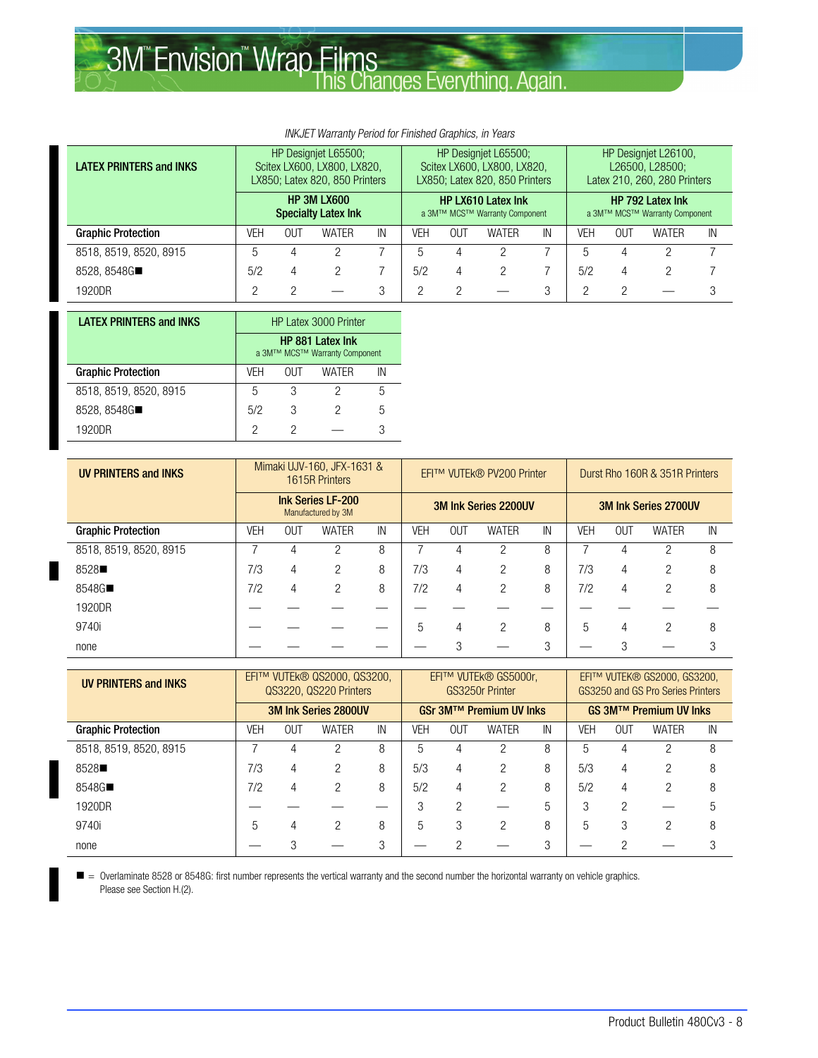#### INKJET Warranty Period for Finished Graphics, in Years

| <b>LATEX PRINTERS and INKS</b> |     | HP Designiet L65500;<br>Scitex LX600, LX800, LX820,<br>LX850; Latex 820, 850 Printers |              |    |     | HP Designiet L65500;<br>Scitex LX600, LX800, LX820,<br>LX850; Latex 820, 850 Printers |       |    |            | HP Designiet L26100.<br>L26500, L28500;<br>Latex 210, 260, 280 Printers |       |    |
|--------------------------------|-----|---------------------------------------------------------------------------------------|--------------|----|-----|---------------------------------------------------------------------------------------|-------|----|------------|-------------------------------------------------------------------------|-------|----|
|                                |     | <b>HP 3M LX600</b><br><b>Specialty Latex Ink</b>                                      |              |    |     | <b>HP LX610 Latex Ink</b><br>a 3M™ MCS™ Warranty Component                            |       |    |            | <b>HP 792 Latex Ink</b><br>a 3M™ MCS™ Warranty Component                |       |    |
| <b>Graphic Protection</b>      | VEH | OUT                                                                                   | <b>WATER</b> | IN | VEH | OUT                                                                                   | WATER | IN | <b>VEH</b> | OUT                                                                     | WATER | IN |
| 8518, 8519, 8520, 8915         | 5   |                                                                                       |              |    | 5   | 4                                                                                     |       |    | 5          | 4                                                                       |       |    |
| 8528, 8548G■                   | 5/2 | 4                                                                                     | 2            |    | 5/2 | 4                                                                                     |       |    | 5/2        | 4                                                                       |       |    |
| 1920DR                         |     |                                                                                       |              |    |     |                                                                                       |       |    | റ          |                                                                         |       |    |

| <b>LATEX PRINTERS and INKS</b> | <b>HP Latex 3000 Printer</b>                      |       |       |    |  |  |  |  |
|--------------------------------|---------------------------------------------------|-------|-------|----|--|--|--|--|
|                                | HP 881 Latex Ink<br>a 3M™ MCS™ Warranty Component |       |       |    |  |  |  |  |
| <b>Graphic Protection</b>      | VFH                                               | 0I IT | WATFR | IN |  |  |  |  |
| 8518, 8519, 8520, 8915         | 5                                                 | 3     |       | 5  |  |  |  |  |
| 8528, 8548G■                   | 5/2                                               | 3     |       | 5  |  |  |  |  |
| 1920DR                         | っ                                                 |       |       |    |  |  |  |  |

| <b>UV PRINTERS and INKS</b> | Mimaki UJV-160, JFX-1631 &<br>1615R Printers   |            |              |    |            | EFI™ VUTEk® PV200 Printer |              |    |     | Durst Rho 160R & 351R Printers |              |    |  |
|-----------------------------|------------------------------------------------|------------|--------------|----|------------|---------------------------|--------------|----|-----|--------------------------------|--------------|----|--|
|                             | <b>Ink Series LF-200</b><br>Manufactured by 3M |            |              |    |            | 3M Ink Series 2200UV      |              |    |     | 3M Ink Series 2700UV           |              |    |  |
| <b>Graphic Protection</b>   | VEH                                            | <b>OUT</b> | <b>WATER</b> | IN | <b>VEH</b> | <b>OUT</b>                | <b>WATER</b> | IN | VEH | <b>OUT</b>                     | <b>WATER</b> | IN |  |
| 8518, 8519, 8520, 8915      |                                                |            | っ            | 8  |            | 4                         |              | 8  |     |                                | C            | 8  |  |
| 8528                        | 7/3                                            | 4          | 2            | 8  | 7/3        | 4                         | っ            | 8  | 7/3 | 4                              | っ            | 8  |  |
| 8548G■                      | 7/2                                            | 4          | 2            | 8  | 7/2        | 4                         | 2            | 8  | 7/2 | 4                              | 2            | 8  |  |
| 1920DR                      |                                                |            |              |    |            |                           |              |    |     |                                |              |    |  |
| 9740i                       |                                                |            |              |    | 5          | 4                         | っ            | 8  | 5   | 4                              | っ            | 8  |  |
| none                        |                                                |            |              |    |            |                           |              | 3  |     |                                |              |    |  |

| <b>UV PRINTERS and INKS</b> |            | EFI™ VUTEk® QS2000, QS3200,<br>QS3220, QS220 Printers |              |    |     | EFI™ VUTEk® GS5000r,<br>GS3250r Printer |              |    |     | EFI™ VUTEK® GS2000, GS3200,<br>GS3250 and GS Pro Series Printers |              |    |  |
|-----------------------------|------------|-------------------------------------------------------|--------------|----|-----|-----------------------------------------|--------------|----|-----|------------------------------------------------------------------|--------------|----|--|
|                             |            | 3M Ink Series 2800UV                                  |              |    |     | GSr 3M™ Premium UV Inks                 |              |    |     | <b>GS 3M™ Premium UV Inks</b>                                    |              |    |  |
| <b>Graphic Protection</b>   | <b>VEH</b> | <b>OUT</b>                                            | <b>WATER</b> | IN | VEH | <b>OUT</b>                              | <b>WATER</b> | IN | VEH | <b>OUT</b>                                                       | <b>WATER</b> | IN |  |
| 8518, 8519, 8520, 8915      |            |                                                       |              | 8  | 5   | 4                                       |              | 8  | 5   |                                                                  |              | 8  |  |
| 8528                        | 7/3        | 4                                                     | っ            | 8  | 5/3 | 4                                       | っ            | 8  | 5/3 | 4                                                                | ႒            | 8  |  |
| 8548G■                      | 7/2        |                                                       |              | 8  | 5/2 | 4                                       | 2            | 8  | 5/2 | 4                                                                | 2            | 8  |  |
| 1920DR                      |            |                                                       |              |    | 3   | っ                                       |              | 5  | 3   | 2                                                                |              |    |  |
| 9740i                       | 5          |                                                       | っ            | 8  | 5   | 3                                       | 2            | 8  | 5   | 3                                                                | 0            | 8  |  |
| none                        |            |                                                       |              | 3  |     |                                         |              | 3  |     |                                                                  |              |    |  |

 $\blacksquare$  = Overlaminate 8528 or 8548G: first number represents the vertical warranty and the second number the horizontal warranty on vehicle graphics. Please see Section [H.\(](#page-9-0)2).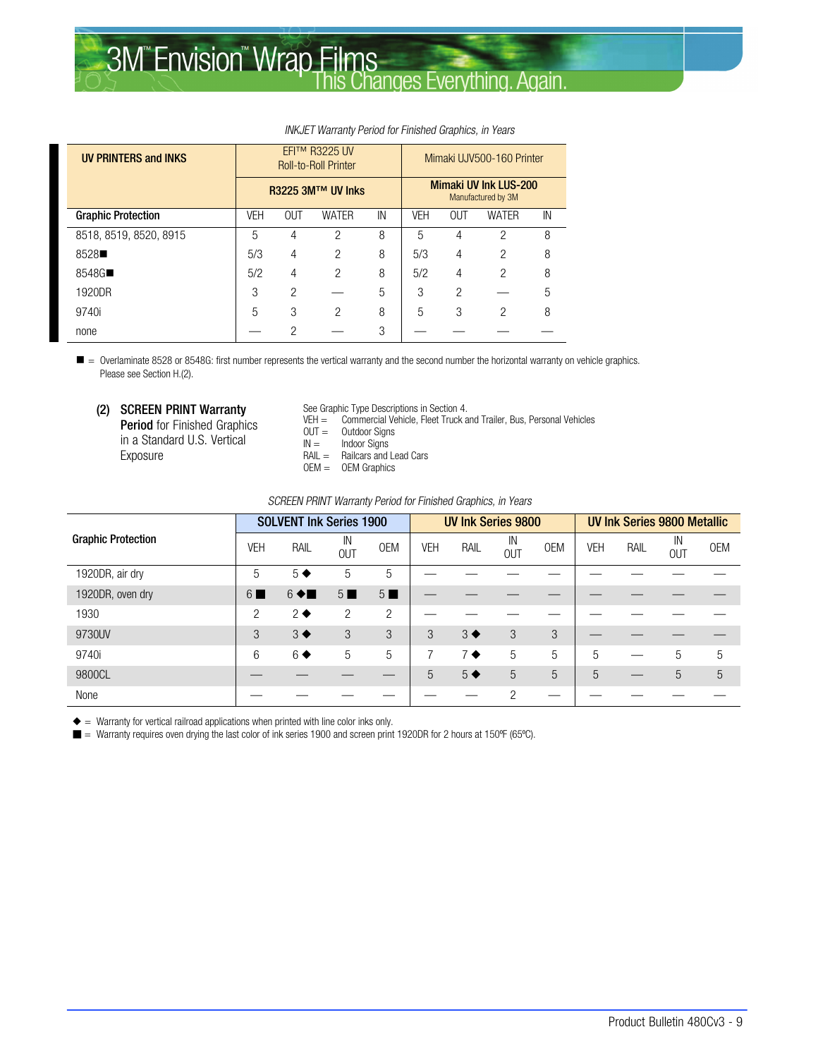| <b>UV PRINTERS and INKS</b> | EFI™ R3225 UV<br><b>Roll-to-Roll Printer</b> |               |               |    | Mimaki UJV500-160 Printer |                |                                                    |    |  |
|-----------------------------|----------------------------------------------|---------------|---------------|----|---------------------------|----------------|----------------------------------------------------|----|--|
|                             | <b>R3225 3M™ UV Inks</b>                     |               |               |    |                           |                | <b>Mimaki UV Ink LUS-200</b><br>Manufactured by 3M |    |  |
| <b>Graphic Protection</b>   | <b>VEH</b>                                   | OUT           | <b>WATER</b>  | IN | <b>VEH</b>                | <b>OUT</b>     | <b>WATER</b>                                       | IN |  |
| 8518, 8519, 8520, 8915      | 5                                            | 4             | 2             | 8  | 5                         | 4              | 2                                                  | 8  |  |
| 8528                        | 5/3                                          | 4             | 2             | 8  | 5/3                       | $\overline{4}$ | 2                                                  | 8  |  |
| 8548G■                      | 5/2                                          | 4             | $\mathcal{P}$ | 8  | 5/2                       | 4              | $\mathcal{P}$                                      | 8  |  |
| 1920DR                      | 3                                            | 2             |               | 5  | 3                         | 2              |                                                    | 5  |  |
| 9740i                       | 5                                            | 3             | 2             | 8  | 5                         | 3              | 2                                                  | 8  |  |
| none                        |                                              | $\mathcal{P}$ |               | 3  |                           |                |                                                    |    |  |

#### INKJET Warranty Period for Finished Graphics, in Years

 $\blacksquare$  = Overlaminate 8528 or 8548G: first number represents the vertical warranty and the second number the horizontal warranty on vehicle graphics. Please see Section [H.\(](#page-9-0)2).

(2) SCREEN PRINT Warranty

Period for Finished Graphics in a Standard U.S. Vertical Exposure

- See Graphic Type Descriptions in Section [4.](#page-4-0)
- VEH = Commercial Vehicle, Fleet Truck and Trailer, Bus, Personal Vehicles<br>
OUT = Outdoor Signs
- $OUT =$  Outdoor Signs<br> $IN =$  Indoor Signs
- Indoor Signs
- RAIL = Railcars and Lead Cars
- OEM = OEM Graphics

#### SCREEN PRINT Warranty Period for Finished Graphics, in Years

|                           | <b>SOLVENT Ink Series 1900</b> |                   |                  | <b>UV Ink Series 9800</b> |     |                   | UV Ink Series 9800 Metallic |            |     |      |                  |            |
|---------------------------|--------------------------------|-------------------|------------------|---------------------------|-----|-------------------|-----------------------------|------------|-----|------|------------------|------------|
| <b>Graphic Protection</b> | <b>VEH</b>                     | RAIL              | IN<br><b>OUT</b> | <b>OEM</b>                | VEH | RAIL              | IN<br><b>OUT</b>            | <b>OEM</b> | VEH | RAIL | IN<br><b>OUT</b> | <b>OEM</b> |
| 1920DR, air dry           | 5                              | $5 \blacklozenge$ | 5                | 5                         |     |                   |                             |            |     |      |                  |            |
| 1920DR, oven dry          | 6 <sup>1</sup>                 | $6 \triangleleft$ | $5 \blacksquare$ | $5 \blacksquare$          |     |                   |                             |            |     |      |                  |            |
| 1930                      | $\overline{c}$                 | $2 \bullet$       | 2                | $\overline{2}$            |     |                   |                             |            |     |      |                  |            |
| 9730UV                    | 3                              | $3 \blacklozenge$ | 3                | 3                         | 3   | $3 \blacklozenge$ | 3                           | 3          |     |      |                  |            |
| 9740i                     | 6                              | $6 \blacklozenge$ | 5                | 5                         | 7   | $7 \bullet$       | 5                           | 5          | 5   |      | 5                | 5          |
| 9800CL                    |                                |                   |                  |                           | 5   | $5 \blacklozenge$ | 5                           | 5          | 5   |      | 5                | 5          |
| None                      |                                |                   |                  |                           |     |                   | っ                           |            |     |      |                  |            |

 $\triangleq$  = Warranty for vertical railroad applications when printed with line color inks only.

■ = Warranty requires oven drying the last color of ink series 1900 and screen print 1920DR for 2 hours at 150°F (65°C).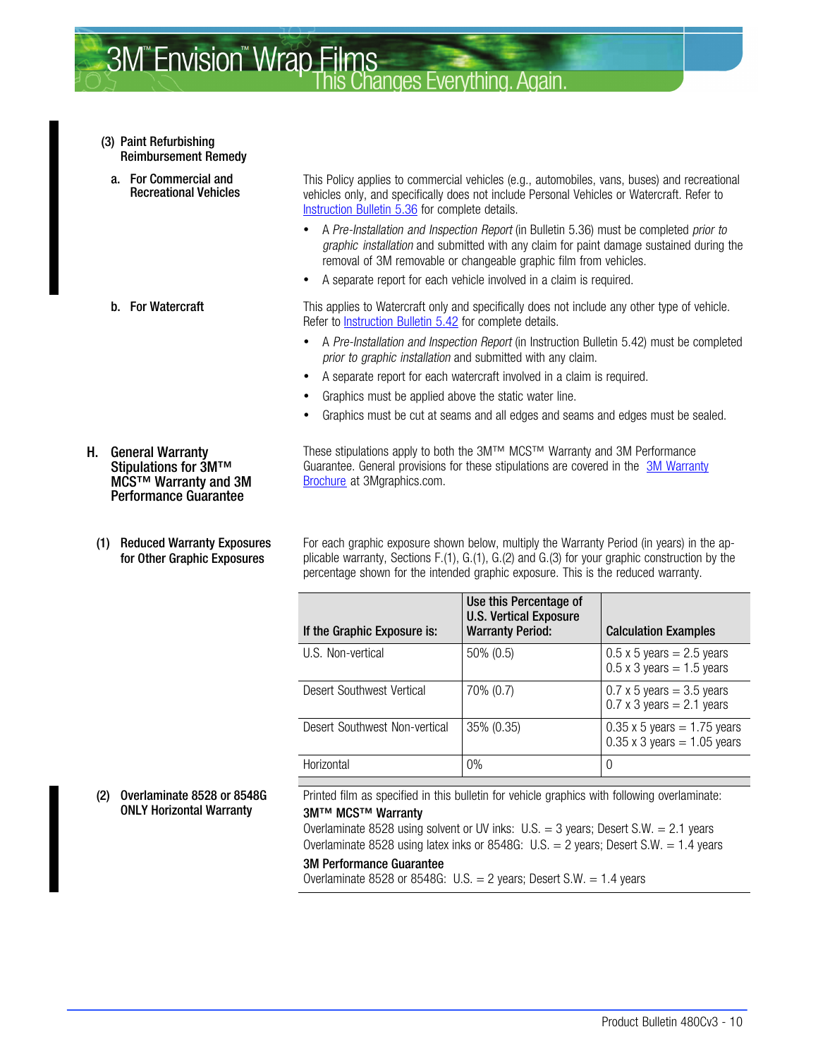- <span id="page-9-0"></span>(3) Paint Refurbishing Reimbursement Remedy
- a. For Commercial and Recreational Vehicles

- H. General Warranty Stipulations for 3M™ MCS™ Warranty and 3M Performance Guarantee
	- (1) Reduced Warranty Exposures for Other Graphic Exposures

This Policy applies to commercial vehicles (e.g., automobiles, vans, buses) and recreational vehicles only, and specifically does not include Personal Vehicles or Watercraft. Refer to [Instruction Bulletin 5.36](http://multimedia.mmm.com/mws/mediawebserver.dyn?6666660Zjcf6lVs6EVs666aE9COrrrrQ-) for complete details.

- A Pre-Installation and Inspection Report (in Bulletin 5.36) must be completed prior to graphic installation and submitted with any claim for paint damage sustained during the removal of 3M removable or changeable graphic film from vehicles.
- A separate report for each vehicle involved in a claim is required.

**b.** For Watercraft This applies to Watercraft only and specifically does not include any other type of vehicle. Refer to [Instruction Bulletin 5.42](http://multimedia.3m.com/mws/mediawebserver?66666UuZjcFSLXTtNXTXOX&tEVuQEcuZgVs6EVs6E666666--) for complete details.

- A Pre-Installation and Inspection Report (in Instruction Bulletin 5.42) must be completed prior to graphic installation and submitted with any claim.
- A separate report for each watercraft involved in a claim is required.
- Graphics must be applied above the static water line.
- Graphics must be cut at seams and all edges and seams and edges must be sealed.

These stipulations apply to both the 3M™ MCS™ Warranty and 3M Performance Guarantee. General provisions for these stipulations are covered in the [3M Warranty](http://multimedia.3m.com/mws/mediawebserver?mwsId=66666UuZjcFSLXTtmxfaLxMaEVuQEcuZgVs6EVs6E666666--&fn=GMC%20Warranty.pdf) [Brochure](http://multimedia.3m.com/mws/mediawebserver?mwsId=66666UuZjcFSLXTtmxfaLxMaEVuQEcuZgVs6EVs6E666666--&fn=GMC%20Warranty.pdf) at 3Mgraphics.com.

For each graphic exposure shown below, multiply the Warranty Period (in years) in the applicable warranty, Sections [F.](#page-6-0)(1), [G.](#page-6-0)(1), [G.](#page-6-0)(2) and [G.](#page-6-0)(3) for your graphic construction by the percentage shown for the intended graphic exposure. This is the reduced warranty.

| If the Graphic Exposure is:   | Use this Percentage of<br><b>U.S. Vertical Exposure</b><br><b>Warranty Period:</b> | <b>Calculation Examples</b>                                              |
|-------------------------------|------------------------------------------------------------------------------------|--------------------------------------------------------------------------|
| U.S. Non-vertical             | $50\% (0.5)$                                                                       | $0.5 \times 5$ years = 2.5 years<br>$0.5 \times 3$ years = 1.5 years     |
| Desert Southwest Vertical     | 70% (0.7)                                                                          | $0.7 \times 5$ years = 3.5 years<br>$0.7 \times 3$ years = 2.1 years     |
| Desert Southwest Non-vertical | 35% (0.35)                                                                         | $0.35 \times 5$ years = 1.75 years<br>$0.35 \times 3$ years = 1.05 years |
| Horizontal                    | $0\%$                                                                              | 0                                                                        |

#### (2) Overlaminate 8528 or 8548G ONLY Horizontal Warranty

Printed film as specified in this bulletin for vehicle graphics with following overlaminate: 3M™ MCS™ Warranty

Overlaminate 8528 using solvent or UV inks:  $U.S. = 3$  years; Desert S.W. = 2.1 years Overlaminate 8528 using latex inks or 8548G: U.S. = 2 years; Desert S.W. =  $1.4$  years

#### 3M Performance Guarantee

Overlaminate 8528 or 8548G: U.S.  $=$  2 years; Desert S.W.  $=$  1.4 years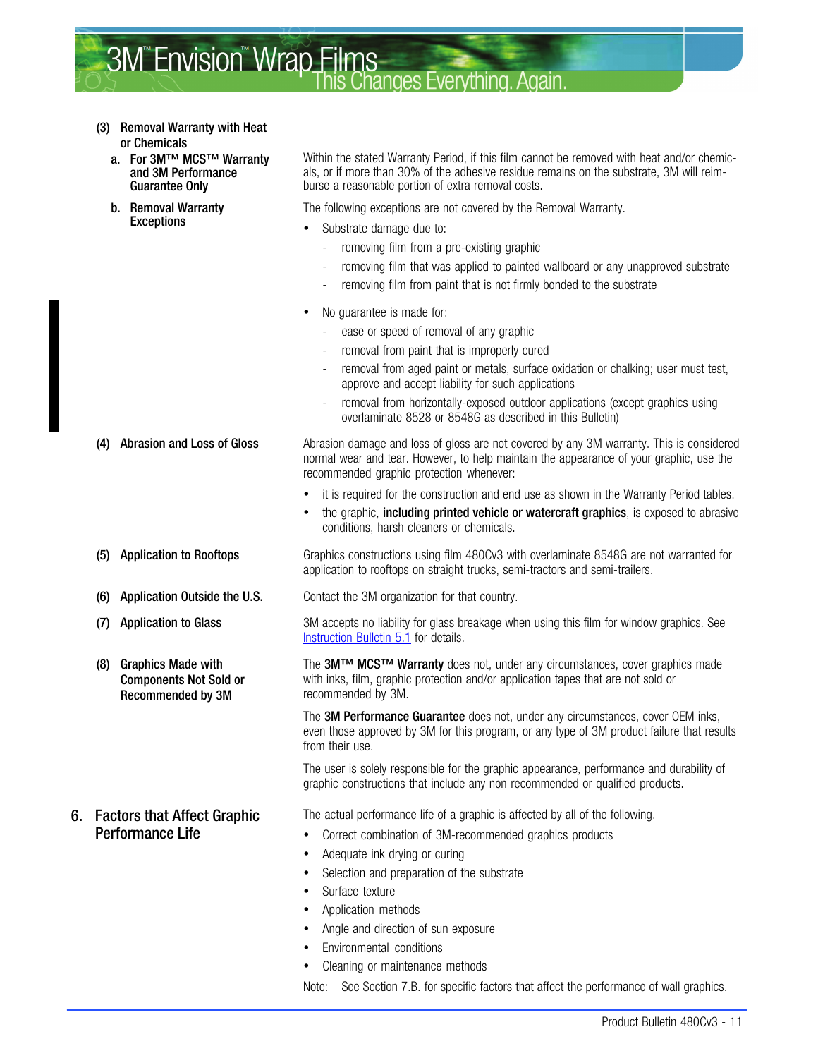- (3) Removal Warranty with Heat or Chemicals
	- a. For 3M™ MCS™ Warranty and 3M Performance Guarantee Only
	- b. Removal Warranty Exceptions

(8) Graphics Made with

6. Factors that Affect Graphic Performance Life

Components Not Sold or Recommended by 3M

Within the stated Warranty Period, if this film cannot be removed with heat and/or chemicals, or if more than 30% of the adhesive residue remains on the substrate, 3M will reimburse a reasonable portion of extra removal costs.

The following exceptions are not covered by the Removal Warranty.

- Substrate damage due to:
	- removing film from a pre-existing graphic
	- removing film that was applied to painted wallboard or any unapproved substrate
	- removing film from paint that is not firmly bonded to the substrate
- No guarantee is made for:
	- ease or speed of removal of any graphic
	- removal from paint that is improperly cured
	- removal from aged paint or metals, surface oxidation or chalking; user must test, approve and accept liability for such applications
	- removal from horizontally-exposed outdoor applications (except graphics using overlaminate 8528 or 8548G as described in this Bulletin)

(4) Abrasion and Loss of Gloss **Abrasion damage and loss of gloss are not covered by any 3M warranty**. This is considered normal wear and tear. However, to help maintain the appearance of your graphic, use the recommended graphic protection whenever:

- it is required for the construction and end use as shown in the Warranty Period tables.
- the graphic, including printed vehicle or watercraft graphics, is exposed to abrasive conditions, harsh cleaners or chemicals.

(5) Application to Rooftops Graphics constructions using film 480Cv3 with overlaminate 8548G are not warranted for application to rooftops on straight trucks, semi-tractors and semi-trailers.

(6) Application Outside the U.S. Contact the 3M organization for that country.

(7) Application to Glass 3M accepts no liability for glass breakage when using this film for window graphics. See [Instruction Bulletin 5.1](http://multimedia.3m.com/mws/mediawebserver?6666660Zjcf6lVs6EVs666TtMCOrrrrQ-) for details.

> The 3M™ MCS™ Warranty does not, under any circumstances, cover graphics made with inks, film, graphic protection and/or application tapes that are not sold or recommended by 3M.

The 3M Performance Guarantee does not, under any circumstances, cover OEM inks, even those approved by 3M for this program, or any type of 3M product failure that results from their use.

The user is solely responsible for the graphic appearance, performance and durability of graphic constructions that include any non recommended or qualified products.

The actual performance life of a graphic is affected by all of the following.

- Correct combination of 3M-recommended graphics products
- Adequate ink drying or curing
- Selection and preparation of the substrate
- Surface texture
- Application methods
- Angle and direction of sun exposure
- Environmental conditions
- Cleaning or maintenance methods

Note: See Section [7.B.](#page-11-0) for specific factors that affect the performance of wall graphics.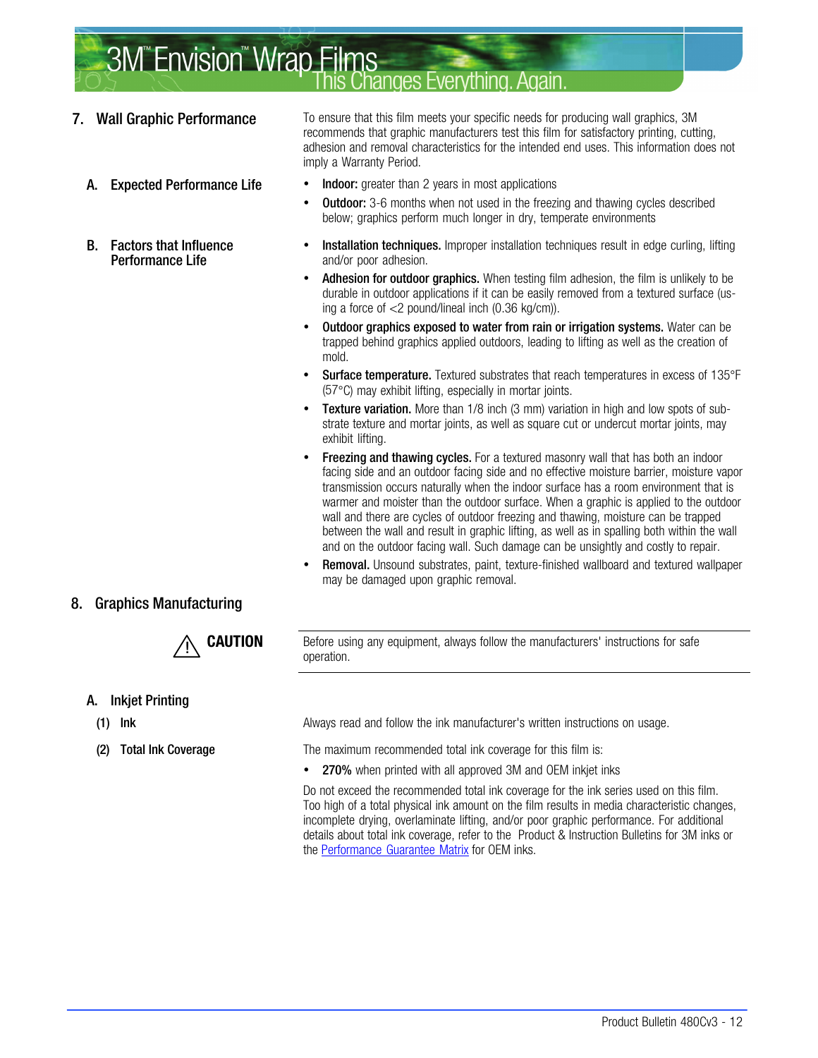- <span id="page-11-0"></span>
	-
	- B. Factors that Influence Performance Life

7. Wall Graphic Performance To ensure that this film meets your specific needs for producing wall graphics, 3M recommends that graphic manufacturers test this film for satisfactory printing, cutting, adhesion and removal characteristics for the intended end uses. This information does not imply a Warranty Period.

- A. Expected Performance Life Indoor: greater than 2 years in most applications
	- **Outdoor:** 3-6 months when not used in the freezing and thawing cycles described below; graphics perform much longer in dry, temperate environments
	- Installation techniques. Improper installation techniques result in edge curling, lifting and/or poor adhesion.
	- Adhesion for outdoor graphics. When testing film adhesion, the film is unlikely to be durable in outdoor applications if it can be easily removed from a textured surface (using a force of <2 pound/lineal inch (0.36 kg/cm)).
	- Outdoor graphics exposed to water from rain or irrigation systems. Water can be trapped behind graphics applied outdoors, leading to lifting as well as the creation of mold.
	- Surface temperature. Textured substrates that reach temperatures in excess of 135°F (57°C) may exhibit lifting, especially in mortar joints.
	- **Texture variation.** More than 1/8 inch (3 mm) variation in high and low spots of substrate texture and mortar joints, as well as square cut or undercut mortar joints, may exhibit lifting.
	- **Freezing and thawing cycles.** For a textured masonry wall that has both an indoor facing side and an outdoor facing side and no effective moisture barrier, moisture vapor transmission occurs naturally when the indoor surface has a room environment that is warmer and moister than the outdoor surface. When a graphic is applied to the outdoor wall and there are cycles of outdoor freezing and thawing, moisture can be trapped between the wall and result in graphic lifting, as well as in spalling both within the wall and on the outdoor facing wall. Such damage can be unsightly and costly to repair.
	- Removal. Unsound substrates, paint, texture-finished wallboard and textured wallpaper may be damaged upon graphic removal.

#### 8. Graphics Manufacturing



**CAUTION** Before using any equipment, always follow the manufacturers' instructions for safe operation.

#### A. Inkjet Printing

- 
- 

(1) Ink Always read and follow the ink manufacturer's written instructions on usage.

(2) Total Ink Coverage The maximum recommended total ink coverage for this film is:

• 270% when printed with all approved 3M and OEM inkjet inks

Do not exceed the recommended total ink coverage for the ink series used on this film. Too high of a total physical ink amount on the film results in media characteristic changes, incomplete drying, overlaminate lifting, and/or poor graphic performance. For additional details about total ink coverage, refer to the Product & Instruction Bulletins for 3M inks or the [Performance Guarantee Matrix](http://multimedia.3m.com/mws/mediawebserver?mwsId=66666UuZjcFSLXTtmxTXMxfyEVuQEcuZgVs6EVs6E666666--) for OEM inks.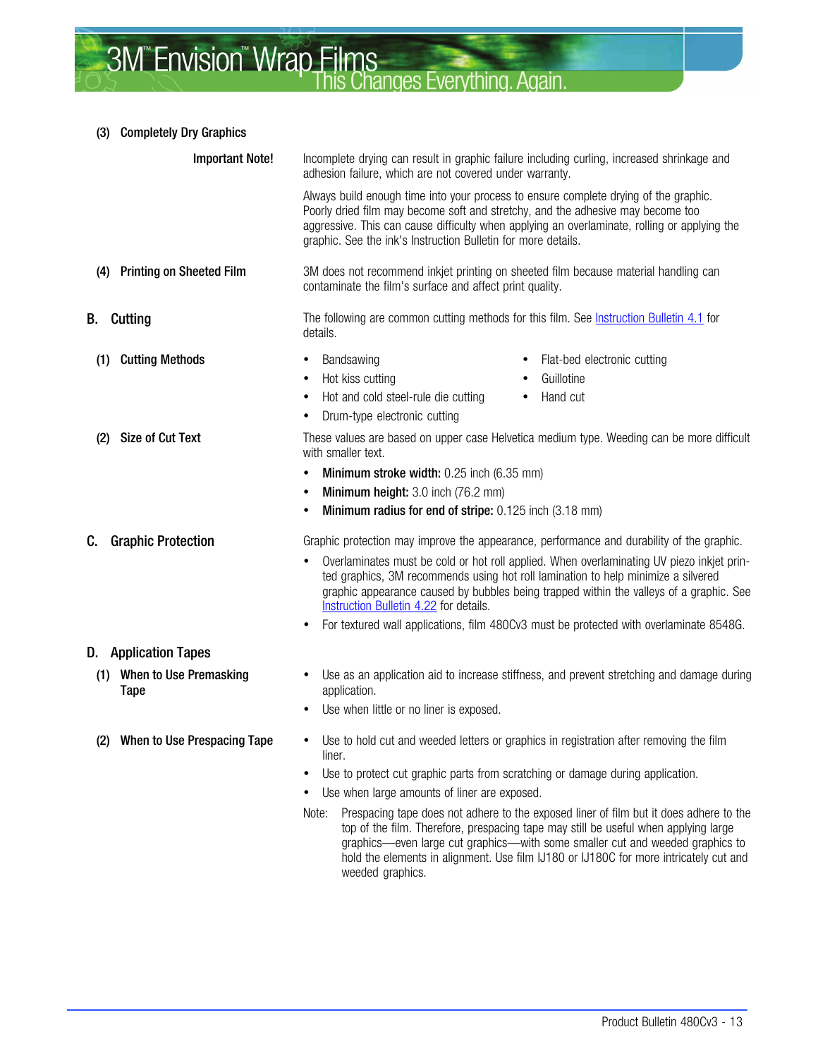#### (3) Completely Dry Graphics

| <b>Important Note!</b>                       | Incomplete drying can result in graphic failure including curling, increased shrinkage and<br>adhesion failure, which are not covered under warranty.                                                                                                                                                                                                                                                                                                                                                                                                                                                                                |  |  |  |  |  |
|----------------------------------------------|--------------------------------------------------------------------------------------------------------------------------------------------------------------------------------------------------------------------------------------------------------------------------------------------------------------------------------------------------------------------------------------------------------------------------------------------------------------------------------------------------------------------------------------------------------------------------------------------------------------------------------------|--|--|--|--|--|
|                                              | Always build enough time into your process to ensure complete drying of the graphic.<br>Poorly dried film may become soft and stretchy, and the adhesive may become too<br>aggressive. This can cause difficulty when applying an overlaminate, rolling or applying the<br>graphic. See the ink's Instruction Bulletin for more details.                                                                                                                                                                                                                                                                                             |  |  |  |  |  |
| <b>Printing on Sheeted Film</b><br>(4)       | 3M does not recommend inkjet printing on sheeted film because material handling can<br>contaminate the film's surface and affect print quality.                                                                                                                                                                                                                                                                                                                                                                                                                                                                                      |  |  |  |  |  |
| B.<br>Cutting                                | The following are common cutting methods for this film. See <b>Instruction Bulletin 4.1</b> for<br>details.                                                                                                                                                                                                                                                                                                                                                                                                                                                                                                                          |  |  |  |  |  |
| <b>Cutting Methods</b><br>(1)                | Bandsawing<br>Flat-bed electronic cutting<br>$\bullet$<br>Hot kiss cutting<br>Guillotine<br>٠<br>Hot and cold steel-rule die cutting<br>Hand cut<br>٠<br>Drum-type electronic cutting                                                                                                                                                                                                                                                                                                                                                                                                                                                |  |  |  |  |  |
| <b>Size of Cut Text</b><br>(2)               | These values are based on upper case Helvetica medium type. Weeding can be more difficult<br>with smaller text.<br>Minimum stroke width: 0.25 inch (6.35 mm)<br>٠<br>Minimum height: 3.0 inch (76.2 mm)<br>$\bullet$<br>Minimum radius for end of stripe: 0.125 inch (3.18 mm)<br>٠                                                                                                                                                                                                                                                                                                                                                  |  |  |  |  |  |
| C.<br><b>Graphic Protection</b>              | Graphic protection may improve the appearance, performance and durability of the graphic.<br>Overlaminates must be cold or hot roll applied. When overlaminating UV piezo inkjet prin-<br>$\bullet$<br>ted graphics, 3M recommends using hot roll lamination to help minimize a silvered<br>graphic appearance caused by bubbles being trapped within the valleys of a graphic. See<br>Instruction Bulletin 4.22 for details.<br>For textured wall applications, film 480Cv3 must be protected with overlaminate 8548G.<br>٠                                                                                                         |  |  |  |  |  |
| <b>D.</b> Application Tapes                  |                                                                                                                                                                                                                                                                                                                                                                                                                                                                                                                                                                                                                                      |  |  |  |  |  |
| When to Use Premasking<br>(1)<br><b>Tape</b> | Use as an application aid to increase stiffness, and prevent stretching and damage during<br>$\bullet$<br>application.<br>Use when little or no liner is exposed.<br>٠                                                                                                                                                                                                                                                                                                                                                                                                                                                               |  |  |  |  |  |
| (2) When to Use Prespacing Tape              | Use to hold cut and weeded letters or graphics in registration after removing the film<br>٠<br>liner.<br>Use to protect cut graphic parts from scratching or damage during application.<br>٠<br>Use when large amounts of liner are exposed.<br>Prespacing tape does not adhere to the exposed liner of film but it does adhere to the<br>Note:<br>top of the film. Therefore, prespacing tape may still be useful when applying large<br>graphics—even large cut graphics—with some smaller cut and weeded graphics to<br>hold the elements in alignment. Use film IJ180 or IJ180C for more intricately cut and<br>weeded graphics. |  |  |  |  |  |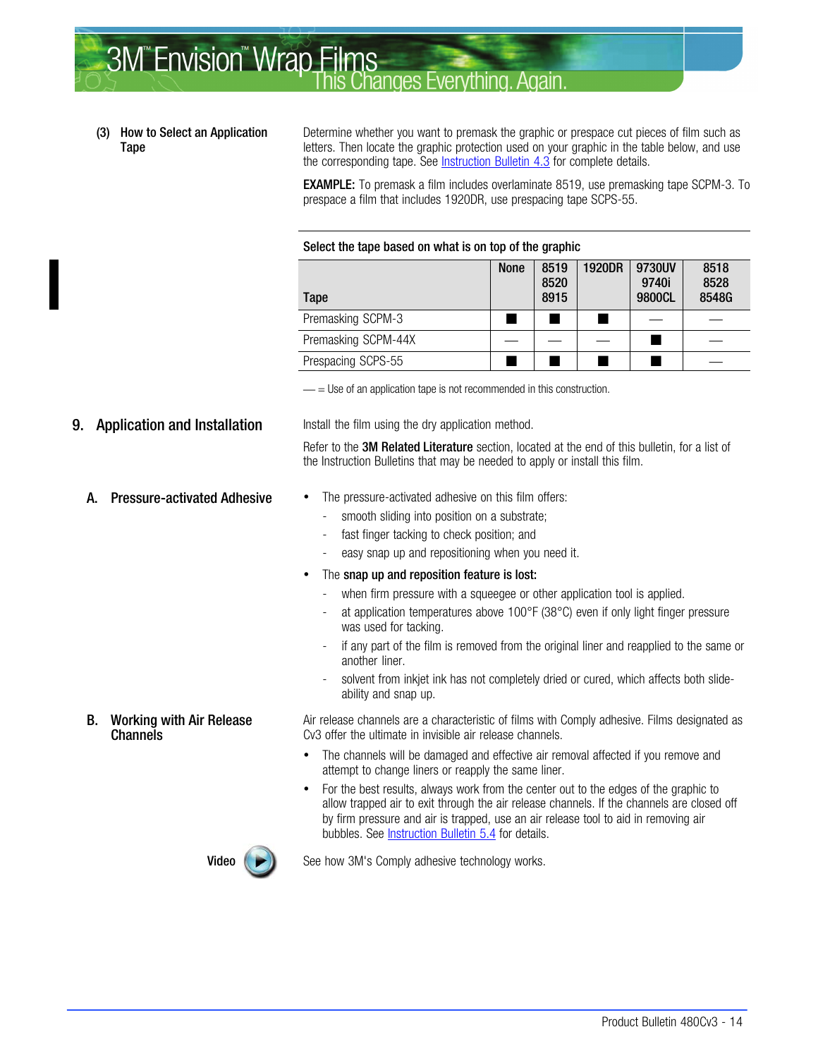#### <span id="page-13-0"></span>**3M<sup>"</sup>Envision<sup>"</sup> Wrap Films** hanges Everything Anair

#### (3) How to Select an Application Tape

Determine whether you want to premask the graphic or prespace cut pieces of film such as letters. Then locate the graphic protection used on your graphic in the table below, and use the corresponding tape. See [Instruction Bulletin 4.3](http://multimedia.mmm.com/mws/mediawebserver.dyn?6666660Zjcf6lVs6EVs666Tt3COrrrrQ-) for complete details.

**EXAMPLE:** To premask a film includes overlaminate 8519, use premasking tape SCPM-3. To prespace a film that includes 1920DR, use prespacing tape SCPS-55.

#### Select the tape based on what is on top of the graphic

| Tape                | <b>None</b> | 8519<br>8520<br>8915 | <b>1920DR</b> | 9730UV<br>9740i<br>9800CL | 8518<br>8528<br>8548G |
|---------------------|-------------|----------------------|---------------|---------------------------|-----------------------|
| Premasking SCPM-3   |             |                      |               |                           |                       |
| Premasking SCPM-44X |             |                      |               |                           |                       |
| Prespacing SCPS-55  |             |                      |               |                           |                       |

 $=$  Use of an application tape is not recommended in this construction.

**9. Application and Installation** Install the film using the dry application method.

Refer to the 3M Related Literature section, located at the end of this bulletin, for a list of the Instruction Bulletins that may be needed to apply or install this film.

B. Working with Air Release

**Channels** 

- A. Pressure-activated Adhesive The pressure-activated adhesive on this film offers:
	- smooth sliding into position on a substrate;
	- fast finger tacking to check position; and
	- easy snap up and repositioning when you need it.
	- The snap up and reposition feature is lost:
		- when firm pressure with a squeegee or other application tool is applied.
		- at application temperatures above  $100^{\circ}F(38^{\circ}C)$  even if only light finger pressure was used for tacking.
		- if any part of the film is removed from the original liner and reapplied to the same or another liner.
		- solvent from inkjet ink has not completely dried or cured, which affects both slideability and snap up.

Air release channels are a characteristic of films with Comply adhesive. Films designated as Cv3 offer the ultimate in invisible air release channels.

- The channels will be damaged and effective air removal affected if you remove and attempt to change liners or reapply the same liner.
- For the best results, always work from the center out to the edges of the graphic to allow trapped air to exit through the air release channels. If the channels are closed off by firm pressure and air is trapped, use an air release tool to aid in removing air bubbles. See [Instruction Bulletin 5.4](http://multimedia.mmm.com/mws/mediawebserver.dyn?6666660Zjcf6lVs6EVs666TtNCOrrrrQ-) for details.



**Video**  $(\triangleright)$  See how 3M's Comply adhesive technology works.

- 
- 
- 
-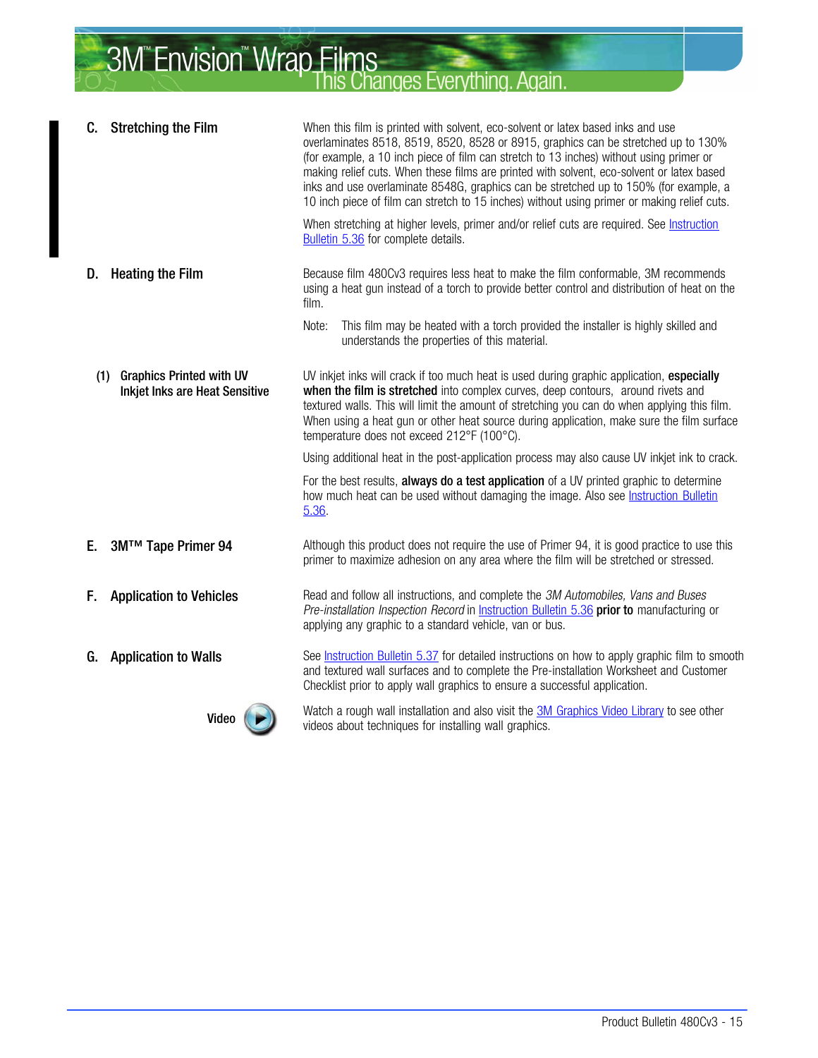| C.  | <b>Stretching the Film</b>                                               | When this film is printed with solvent, eco-solvent or latex based inks and use<br>overlaminates 8518, 8519, 8520, 8528 or 8915, graphics can be stretched up to 130%<br>(for example, a 10 inch piece of film can stretch to 13 inches) without using primer or                                                                                                                                                         |  |  |  |
|-----|--------------------------------------------------------------------------|--------------------------------------------------------------------------------------------------------------------------------------------------------------------------------------------------------------------------------------------------------------------------------------------------------------------------------------------------------------------------------------------------------------------------|--|--|--|
|     |                                                                          | making relief cuts. When these films are printed with solvent, eco-solvent or latex based<br>inks and use overlaminate 8548G, graphics can be stretched up to 150% (for example, a<br>10 inch piece of film can stretch to 15 inches) without using primer or making relief cuts.                                                                                                                                        |  |  |  |
|     |                                                                          | When stretching at higher levels, primer and/or relief cuts are required. See <b>Instruction</b><br>Bulletin 5.36 for complete details.                                                                                                                                                                                                                                                                                  |  |  |  |
| D.  | <b>Heating the Film</b>                                                  | Because film 480Cv3 requires less heat to make the film conformable, 3M recommends<br>using a heat gun instead of a torch to provide better control and distribution of heat on the<br>film.                                                                                                                                                                                                                             |  |  |  |
|     |                                                                          | Note:<br>This film may be heated with a torch provided the installer is highly skilled and<br>understands the properties of this material.                                                                                                                                                                                                                                                                               |  |  |  |
| (1) | <b>Graphics Printed with UV</b><br><b>Inkjet Inks are Heat Sensitive</b> | UV inkjet inks will crack if too much heat is used during graphic application, especially<br>when the film is stretched into complex curves, deep contours, around rivets and<br>textured walls. This will limit the amount of stretching you can do when applying this film.<br>When using a heat gun or other heat source during application, make sure the film surface<br>temperature does not exceed 212°F (100°C). |  |  |  |
|     |                                                                          | Using additional heat in the post-application process may also cause UV inkjet ink to crack.                                                                                                                                                                                                                                                                                                                             |  |  |  |
|     |                                                                          | For the best results, always do a test application of a UV printed graphic to determine<br>how much heat can be used without damaging the image. Also see Instruction Bulletin<br>5.36.                                                                                                                                                                                                                                  |  |  |  |
| Е.  | 3M™ Tape Primer 94                                                       | Although this product does not require the use of Primer 94, it is good practice to use this<br>primer to maximize adhesion on any area where the film will be stretched or stressed.                                                                                                                                                                                                                                    |  |  |  |
| Е.  | <b>Application to Vehicles</b>                                           | Read and follow all instructions, and complete the 3M Automobiles, Vans and Buses<br>Pre-installation Inspection Record in Instruction Bulletin 5.36 prior to manufacturing or<br>applying any graphic to a standard vehicle, van or bus.                                                                                                                                                                                |  |  |  |
| G.  | <b>Application to Walls</b>                                              | See Instruction Bulletin 5.37 for detailed instructions on how to apply graphic film to smooth<br>and textured wall surfaces and to complete the Pre-installation Worksheet and Customer<br>Checklist prior to apply wall graphics to ensure a successful application.                                                                                                                                                   |  |  |  |
|     | Video                                                                    | Watch a rough wall installation and also visit the 3M Graphics Video Library to see other<br>videos about techniques for installing wall graphics.                                                                                                                                                                                                                                                                       |  |  |  |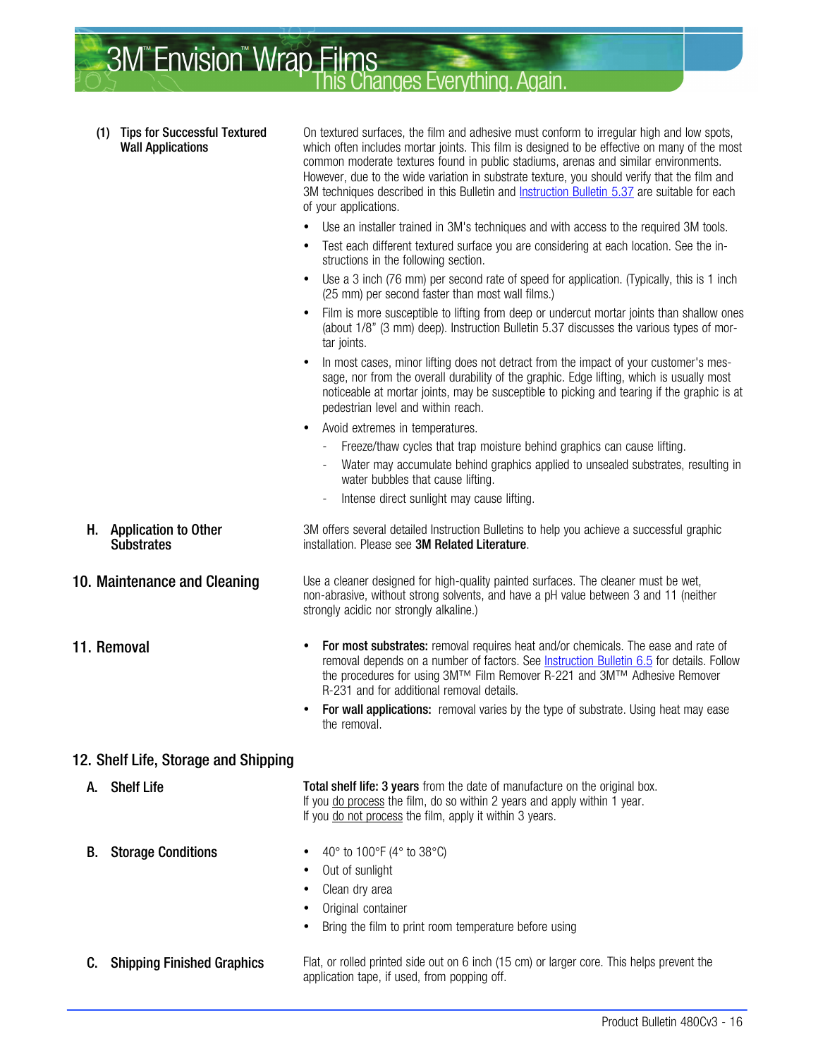

- Original container
- Bring the film to print room temperature before using
- 

**C.** Shipping Finished Graphics Flat, or rolled printed side out on 6 inch (15 cm) or larger core. This helps prevent the application tape, if used, from popping off.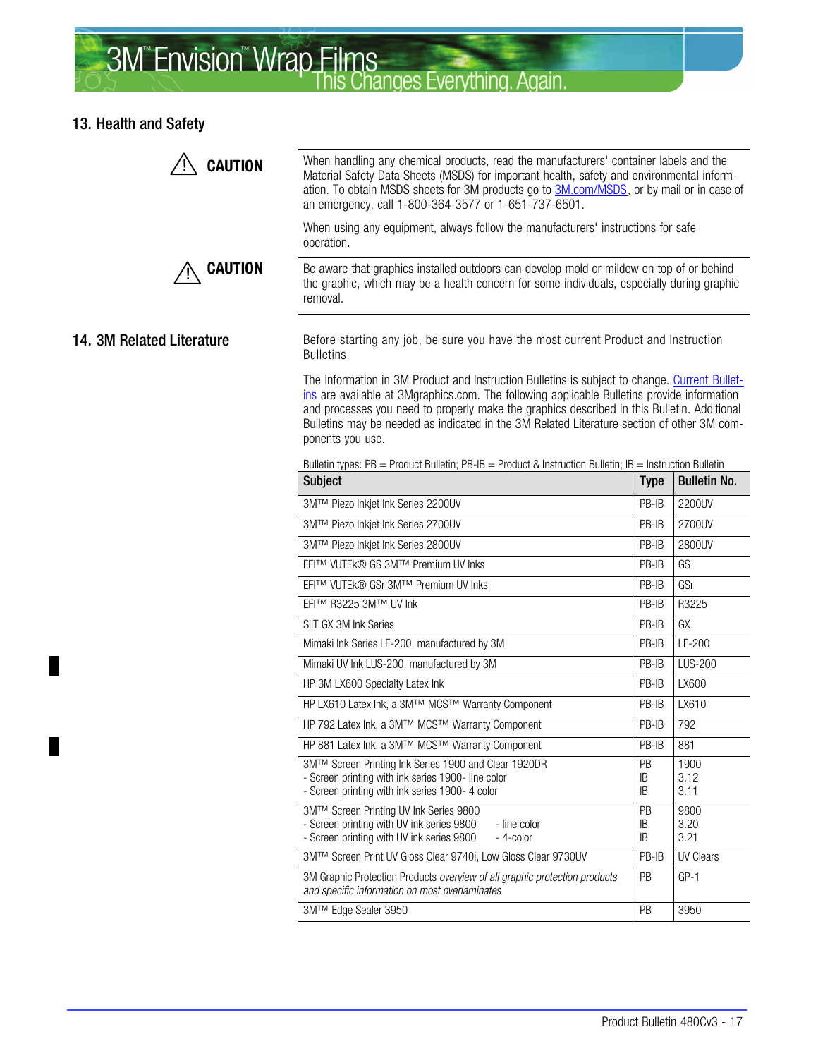# 3M<sup>"</sup> Envision<sup>"</sup> Wrap Films<br>This Changes Everything. Again.

#### 13. Health and Safety

 $\blacksquare$ 

 $\blacksquare$ 

| <b>CAUTION</b>            | When handling any chemical products, read the manufacturers' container labels and the<br>Material Safety Data Sheets (MSDS) for important health, safety and environmental inform-<br>ation. To obtain MSDS sheets for 3M products go to 3M.com/MSDS, or by mail or in case of<br>an emergency, call 1-800-364-3577 or 1-651-737-6501.                                                                        |                |                      |  |  |  |  |
|---------------------------|---------------------------------------------------------------------------------------------------------------------------------------------------------------------------------------------------------------------------------------------------------------------------------------------------------------------------------------------------------------------------------------------------------------|----------------|----------------------|--|--|--|--|
|                           | When using any equipment, always follow the manufacturers' instructions for safe<br>operation.                                                                                                                                                                                                                                                                                                                |                |                      |  |  |  |  |
| <b>CAUTION</b>            | Be aware that graphics installed outdoors can develop mold or mildew on top of or behind<br>the graphic, which may be a health concern for some individuals, especially during graphic<br>removal.                                                                                                                                                                                                            |                |                      |  |  |  |  |
| 14. 3M Related Literature | Before starting any job, be sure you have the most current Product and Instruction<br>Bulletins.                                                                                                                                                                                                                                                                                                              |                |                      |  |  |  |  |
|                           | The information in 3M Product and Instruction Bulletins is subject to change. Current Bullet-<br>ins are available at 3Mgraphics.com. The following applicable Bulletins provide information<br>and processes you need to properly make the graphics described in this Bulletin. Additional<br>Bulletins may be needed as indicated in the 3M Related Literature section of other 3M com-<br>ponents you use. |                |                      |  |  |  |  |
|                           | Bulletin types: $PB =$ Product Bulletin; $PB - B =$ Product & Instruction Bulletin; $IB =$ Instruction Bulletin                                                                                                                                                                                                                                                                                               |                |                      |  |  |  |  |
|                           | <b>Subject</b>                                                                                                                                                                                                                                                                                                                                                                                                | <b>Type</b>    | <b>Bulletin No.</b>  |  |  |  |  |
|                           | 3M™ Piezo Inkjet Ink Series 2200UV                                                                                                                                                                                                                                                                                                                                                                            | PB-IB          | 2200UV               |  |  |  |  |
|                           | 3M™ Piezo Inkjet Ink Series 2700UV                                                                                                                                                                                                                                                                                                                                                                            | PB-IB          | 2700UV               |  |  |  |  |
|                           | 3M™ Piezo Inkjet Ink Series 2800UV                                                                                                                                                                                                                                                                                                                                                                            | PB-IB          | 2800UV               |  |  |  |  |
|                           | EFI™ VUTEk® GS 3M™ Premium UV Inks                                                                                                                                                                                                                                                                                                                                                                            | PB-IB          | GS                   |  |  |  |  |
|                           | EFI™ VUTEk® GSr 3M™ Premium UV Inks                                                                                                                                                                                                                                                                                                                                                                           | PB-IB          | GSr                  |  |  |  |  |
|                           | EFI™ R3225 3M™ UV Ink                                                                                                                                                                                                                                                                                                                                                                                         | PB-IB          | R3225                |  |  |  |  |
|                           | SIIT GX 3M Ink Series                                                                                                                                                                                                                                                                                                                                                                                         | PB-IB          | GX                   |  |  |  |  |
|                           | Mimaki Ink Series LF-200, manufactured by 3M                                                                                                                                                                                                                                                                                                                                                                  | PB-IB          | LF-200               |  |  |  |  |
|                           | Mimaki UV Ink LUS-200, manufactured by 3M                                                                                                                                                                                                                                                                                                                                                                     | PB-IB          | <b>LUS-200</b>       |  |  |  |  |
|                           | HP 3M LX600 Specialty Latex Ink                                                                                                                                                                                                                                                                                                                                                                               | PB-IB          | LX600                |  |  |  |  |
|                           | HP LX610 Latex Ink, a 3M™ MCS™ Warranty Component                                                                                                                                                                                                                                                                                                                                                             | PB-IB          | LX610                |  |  |  |  |
|                           | HP 792 Latex Ink, a 3M™ MCS™ Warranty Component                                                                                                                                                                                                                                                                                                                                                               | PB-IB          | 792                  |  |  |  |  |
|                           | HP 881 Latex Ink, a 3M™ MCS™ Warranty Component                                                                                                                                                                                                                                                                                                                                                               | PB-IB          | 881                  |  |  |  |  |
|                           | 3M™ Screen Printing Ink Series 1900 and Clear 1920DR<br>- Screen printing with ink series 1900- line color<br>- Screen printing with ink series 1900- 4 color                                                                                                                                                                                                                                                 | PB<br>IB<br>IB | 1900<br>3.12<br>3.11 |  |  |  |  |
|                           | 3M™ Screen Printing UV Ink Series 9800<br>- Screen printing with UV ink series 9800<br>- line color<br>- Screen printing with UV ink series 9800<br>- 4-color                                                                                                                                                                                                                                                 | PB<br>IB<br>IB | 9800<br>3.20<br>3.21 |  |  |  |  |
|                           | 3M™ Screen Print UV Gloss Clear 9740i, Low Gloss Clear 9730UV                                                                                                                                                                                                                                                                                                                                                 | PB-IB          | <b>UV Clears</b>     |  |  |  |  |
|                           | 3M Graphic Protection Products overview of all graphic protection products<br>and specific information on most overlaminates                                                                                                                                                                                                                                                                                  | PB             | $GP-1$               |  |  |  |  |
|                           | 3M™ Edge Sealer 3950                                                                                                                                                                                                                                                                                                                                                                                          | PB             | 3950                 |  |  |  |  |